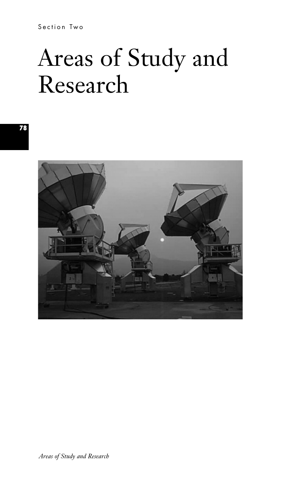Section Two

# Areas of Study and Research

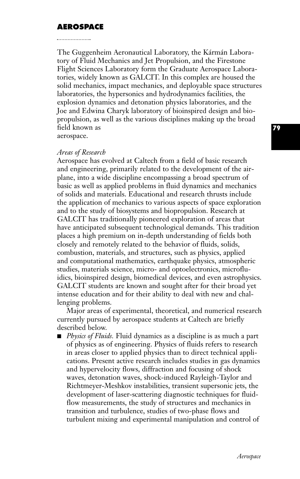## **AEROSPACE**

The Guggenheim Aeronautical Laboratory, the Kármán Laboratory of Fluid Mechanics and Jet Propulsion, and the Firestone Flight Sciences Laboratory form the Graduate Aerospace Laboratories, widely known as GALCIT. In this complex are housed the solid mechanics, impact mechanics, and deployable space structures laboratories, the hypersonics and hydrodynamics facilities, the explosion dynamics and detonation physics laboratories, and the Joe and Edwina Charyk laboratory of bioinspired design and biopropulsion, as well as the various disciplines making up the broad field known as

aerospace.

#### *Areas of Research*

Aerospace has evolved at Caltech from a field of basic research and engineering, primarily related to the development of the airplane, into a wide discipline encompassing a broad spectrum of basic as well as applied problems in fluid dynamics and mechanics of solids and materials. Educational and research thrusts include the application of mechanics to various aspects of space exploration and to the study of biosystems and biopropulsion. Research at GALCIT has traditionally pioneered exploration of areas that have anticipated subsequent technological demands. This tradition places a high premium on in-depth understanding of fields both closely and remotely related to the behavior of fluids, solids, combustion, materials, and structures, such as physics, applied and computational mathematics, earthquake physics, atmospheric studies, materials science, micro- and optoelectronics, microfluidics, bioinspired design, biomedical devices, and even astrophysics. GALCIT students are known and sought after for their broad yet intense education and for their ability to deal with new and challenging problems.

Major areas of experimental, theoretical, and numerical research currently pursued by aerospace students at Caltech are briefly described below.

■ *Physics of Fluids*. Fluid dynamics as a discipline is as much a part of physics as of engineering. Physics of fluids refers to research in areas closer to applied physics than to direct technical applications. Present active research includes studies in gas dynamics and hypervelocity flows, diffraction and focusing of shock waves, detonation waves, shock-induced Rayleigh-Taylor and Richtmeyer-Meshkov instabilities, transient supersonic jets, the development of laser-scattering diagnostic techniques for fluidflow measurements, the study of structures and mechanics in transition and turbulence, studies of two-phase flows and turbulent mixing and experimental manipulation and control of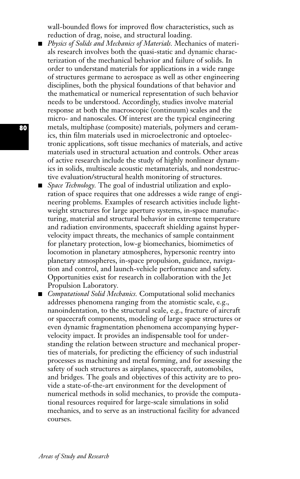wall-bounded flows for improved flow characteristics, such as reduction of drag, noise, and structural loading.

- **■** *Physics of Solids and Mechanics of Materials.* Mechanics of materials research involves both the quasi-static and dynamic characterization of the mechanical behavior and failure of solids. In order to understand materials for applications in a wide range of structures germane to aerospace as well as other engineering disciplines, both the physical foundations of that behavior and the mathematical or numerical representation of such behavior needs to be understood. Accordingly, studies involve material response at both the macroscopic (continuum) scales and the micro- and nanoscales. Of interest are the typical engineering metals, multiphase (composite) materials, polymers and ceramics, thin film materials used in microelectronic and optoelectronic applications, soft tissue mechanics of materials, and active materials used in structural actuation and controls. Other areas of active research include the study of highly nonlinear dynamics in solids, multiscale acoustic metamaterials, and nondestructive evaluation/structural health monitoring of structures.
- *Space Technology*. The goal of industrial utilization and exploration of space requires that one addresses a wide range of engineering problems. Examples of research activities include lightweight structures for large aperture systems, in-space manufacturing, material and structural behavior in extreme temperature and radiation environments, spacecraft shielding against hypervelocity impact threats, the mechanics of sample containment for planetary protection, low-g biomechanics, biomimetics of locomotion in planetary atmospheres, hypersonic reentry into planetary atmospheres, in-space propulsion, guidance, navigation and control, and launch-vehicle performance and safety. Opportunities exist for research in collaboration with the Jet Propulsion Laboratory*.*
- *Computational Solid Mechanics*. Computational solid mechanics addresses phenomena ranging from the atomistic scale, e.g., nanoindentation, to the structural scale, e.g., fracture of aircraft or spacecraft components, modeling of large space structures or even dynamic fragmentation phenomena accompanying hypervelocity impact. It provides an indispensable tool for understanding the relation between structure and mechanical properties of materials, for predicting the efficiency of such industrial processes as machining and metal forming, and for assessing the safety of such structures as airplanes, spacecraft, automobiles, and bridges. The goals and objectives of this activity are to provide a state-of-the-art environment for the development of numerical methods in solid mechanics, to provide the computational resources required for large-scale simulations in solid mechanics, and to serve as an instructional facility for advanced courses.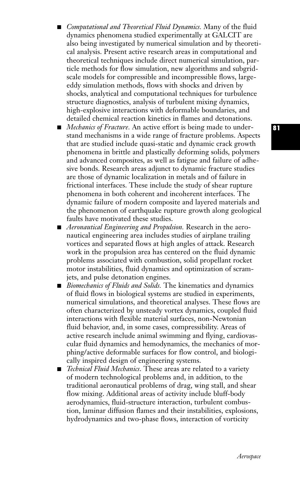- *Computational and Theoretical Fluid Dynamics.* Many of the fluid dynamics phenomena studied experimentally at GALCIT are also being investigated by numerical simulation and by theoretical analysis. Present active research areas in computational and theoretical techniques include direct numerical simulation, particle methods for flow simulation, new algorithms and subgridscale models for compressible and incompressible flows, largeeddy simulation methods, flows with shocks and driven by shocks, analytical and computational techniques for turbulence structure diagnostics, analysis of turbulent mixing dynamics, high-explosive interactions with deformable boundaries, and detailed chemical reaction kinetics in flames and detonations.
- *Mechanics of Fracture.* An active effort is being made to understand mechanisms in a wide range of fracture problems. Aspects that are studied include quasi-static and dynamic crack growth phenomena in brittle and plastically deforming solids, polymers and advanced composites, as well as fatigue and failure of adhesive bonds. Research areas adjunct to dynamic fracture studies are those of dynamic localization in metals and of failure in frictional interfaces. These include the study of shear rupture phenomena in both coherent and incoherent interfaces. The dynamic failure of modern composite and layered materials and the phenomenon of earthquake rupture growth along geological faults have motivated these studies.
- *Aeronautical Engineering and Propulsion.* Research in the aeronautical engineering area includes studies of airplane trailing vortices and separated flows at high angles of attack. Research work in the propulsion area has centered on the fluid dynamic problems associated with combustion, solid propellant rocket motor instabilities, fluid dynamics and optimization of scramjets, and pulse detonation engines.
- *Biomechanics of Fluids and Solids*. The kinematics and dynamics of fluid flows in biological systems are studied in experiments, numerical simulations, and theoretical analyses. These flows are often characterized by unsteady vortex dynamics, coupled fluid interactions with flexible material surfaces, non-Newtonian fluid behavior, and, in some cases, compressibility. Areas of active research include animal swimming and flying, cardiovascular fluid dynamics and hemodynamics, the mechanics of morphing/active deformable surfaces for flow control, and biologically inspired design of engineering systems.
- *Technical Fluid Mechanics*. These areas are related to a variety of modern technological problems and, in addition, to the traditional aeronautical problems of drag, wing stall, and shear flow mixing. Additional areas of activity include bluff-body aerodynamics, fluid-structure interaction, turbulent combustion, laminar diffusion flames and their instabilities, explosions, hydrodynamics and two-phase flows, interaction of vorticity

**81**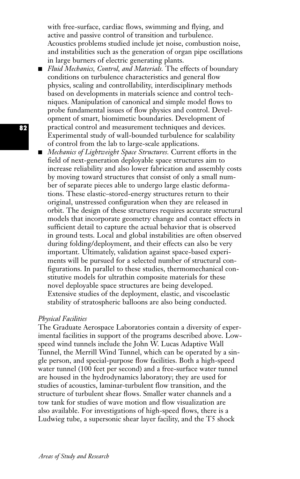with free-surface, cardiac flows, swimming and flying, and active and passive control of transition and turbulence. Acoustics problems studied include jet noise, combustion noise, and instabilities such as the generation of organ pipe oscillations in large burners of electric generating plants.

- *Fluid Mechanics, Control, and Materials*. The effects of boundary conditions on turbulence characteristics and general flow physics, scaling and controllability, interdisciplinary methods based on developments in materials science and control techniques. Manipulation of canonical and simple model flows to probe fundamental issues of flow physics and control. Development of smart, biomimetic boundaries. Development of practical control and measurement techniques and devices. Experimental study of wall-bounded turbulence for scalability of control from the lab to large-scale applications.
- *Mechanics of Lightweight Space Structures*. Current efforts in the field of next-generation deployable space structures aim to increase reliability and also lower fabrication and assembly costs by moving toward structures that consist of only a small number of separate pieces able to undergo large elastic deformations. These elastic–stored-energy structures return to their original, unstressed configuration when they are released in orbit. The design of these structures requires accurate structural models that incorporate geometry change and contact effects in sufficient detail to capture the actual behavior that is observed in ground tests. Local and global instabilities are often observed during folding/deployment, and their effects can also be very important. Ultimately, validation against space-based experiments will be pursued for a selected number of structural configurations. In parallel to these studies, thermomechanical constitutive models for ultrathin composite materials for these novel deployable space structures are being developed. Extensive studies of the deployment, elastic, and viscoelastic stability of stratospheric balloons are also being conducted.

#### *Physical Facilities*

The Graduate Aerospace Laboratories contain a diversity of experimental facilities in support of the programs described above. Lowspeed wind tunnels include the John W. Lucas Adaptive Wall Tunnel, the Merrill Wind Tunnel, which can be operated by a single person, and special-purpose flow facilities. Both a high-speed water tunnel (100 feet per second) and a free-surface water tunnel are housed in the hydrodynamics laboratory; they are used for studies of acoustics, laminar-turbulent flow transition, and the structure of turbulent shear flows. Smaller water channels and a tow tank for studies of wave motion and flow visualization are also available. For investigations of high-speed flows, there is a Ludwieg tube, a supersonic shear layer facility, and the T5 shock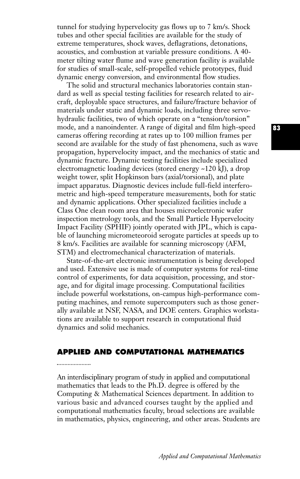tunnel for studying hypervelocity gas flows up to 7 km/s. Shock tubes and other special facilities are available for the study of extreme temperatures, shock waves, deflagrations, detonations, acoustics, and combustion at variable pressure conditions. A 40 meter tilting water flume and wave generation facility is available for studies of small-scale, self-propelled vehicle prototypes, fluid dynamic energy conversion, and environmental flow studies.

The solid and structural mechanics laboratories contain standard as well as special testing facilities for research related to aircraft, deployable space structures, and failure/fracture behavior of materials under static and dynamic loads, including three servohydraulic facilities, two of which operate on a "tension/torsion'' mode, and a nanoindenter. A range of digital and film high-speed cameras offering recording at rates up to 100 million frames per second are available for the study of fast phenomena, such as wave propagation, hypervelocity impact, and the mechanics of static and dynamic fracture. Dynamic testing facilities include specialized electromagnetic loading devices (stored energy ~120 kJ), a drop weight tower, split Hopkinson bars (axial/torsional), and plate impact apparatus. Diagnostic devices include full-field interferometric and high-speed temperature measurements, both for static and dynamic applications. Other specialized facilities include a Class One clean room area that houses microelectronic wafer inspection metrology tools, and the Small Particle Hypervelocity Impact Facility (SPHIF) jointly operated with JPL, which is capable of launching micrometeoroid serogate particles at speeds up to 8 km/s. Facilities are available for scanning microscopy (AFM, STM) and electromechanical characterization of materials.

State-of-the-art electronic instrumentation is being developed and used. Extensive use is made of computer systems for real-time control of experiments, for data acquisition, processing, and storage, and for digital image processing. Computational facilities include powerful workstations, on-campus high-performance computing machines, and remote supercomputers such as those generally available at NSF, NASA, and DOE centers. Graphics workstations are available to support research in computational fluid dynamics and solid mechanics.

# **APPLIED AND COMPUTATIONAL MATHEMATICS**

An interdisciplinary program of study in applied and computational mathematics that leads to the Ph.D. degree is offered by the Computing & Mathematical Sciences department. In addition to various basic and advanced courses taught by the applied and computational mathematics faculty, broad selections are available in mathematics, physics, engineering, and other areas. Students are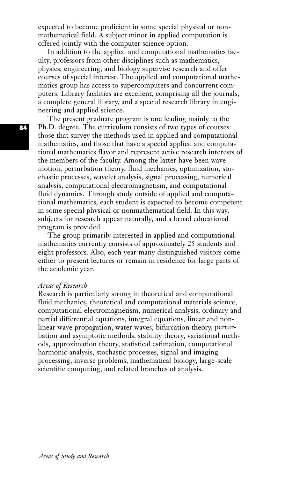expected to become proficient in some special physical or nonmathematical field. A subject minor in applied computation is offered jointly with the computer science option.

In addition to the applied and computational mathematics faculty, professors from other disciplines such as mathematics, physics, engineering, and biology supervise research and offer courses of special interest. The applied and computational mathematics group has access to supercomputers and concurrent computers. Library facilities are excellent, comprising all the journals, a complete general library, and a special research library in engineering and applied science.

The present graduate program is one leading mainly to the Ph.D. degree. The curriculum consists of two types of courses: those that survey the methods used in applied and computational mathematics, and those that have a special applied and computational mathematics flavor and represent active research interests of the members of the faculty. Among the latter have been wave motion, perturbation theory, fluid mechanics, optimization, stochastic processes, wavelet analysis, signal processing, numerical analysis, computational electromagnetism, and computational fluid dynamics. Through study outside of applied and computational mathematics, each student is expected to become competent in some special physical or nonmathematical field. In this way, subjects for research appear naturally, and a broad educational program is provided.

The group primarily interested in applied and computational mathematics currently consists of approximately 25 students and eight professors. Also, each year many distinguished visitors come either to present lectures or remain in residence for large parts of the academic year.

#### *Areas of Research*

Research is particularly strong in theoretical and computational fluid mechanics, theoretical and computational materials science, computational electromagnetism, numerical analysis, ordinary and partial differential equations, integral equations, linear and nonlinear wave propagation, water waves, bifurcation theory, perturbation and asymptotic methods, stability theory, variational methods, approximation theory, statistical estimation, computational harmonic analysis, stochastic processes, signal and imaging processing, inverse problems, mathematical biology, large-scale scientific computing, and related branches of analysis.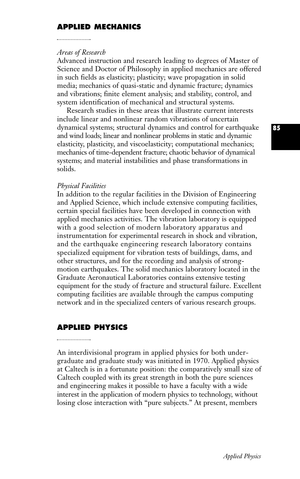# **APPLIED MECHANICS**

## *Areas of Research*

Advanced instruction and research leading to degrees of Master of Science and Doctor of Philosophy in applied mechanics are offered in such fields as elasticity; plasticity; wave propagation in solid media; mechanics of quasi-static and dynamic fracture; dynamics and vibrations; finite element analysis; and stability, control, and system identification of mechanical and structural systems.

Research studies in these areas that illustrate current interests include linear and nonlinear random vibrations of uncertain dynamical systems; structural dynamics and control for earthquake and wind loads; linear and nonlinear problems in static and dynamic elasticity, plasticity, and viscoelasticity; computational mechanics; mechanics of time-dependent fracture; chaotic behavior of dynamical systems; and material instabilities and phase transformations in solids.

#### *Physical Facilities*

In addition to the regular facilities in the Division of Engineering and Applied Science, which include extensive computing facilities, certain special facilities have been developed in connection with applied mechanics activities. The vibration laboratory is equipped with a good selection of modern laboratory apparatus and instrumentation for experimental research in shock and vibration, and the earthquake engineering research laboratory contains specialized equipment for vibration tests of buildings, dams, and other structures, and for the recording and analysis of strongmotion earthquakes. The solid mechanics laboratory located in the Graduate Aeronautical Laboratories contains extensive testing equipment for the study of fracture and structural failure. Excellent computing facilities are available through the campus computing network and in the specialized centers of various research groups.

## **APPLIED PHYSICS**

#### 

An interdivisional program in applied physics for both undergraduate and graduate study was initiated in 1970. Applied physics at Caltech is in a fortunate position: the comparatively small size of Caltech coupled with its great strength in both the pure sciences and engineering makes it possible to have a faculty with a wide interest in the application of modern physics to technology, without losing close interaction with "pure subjects." At present, members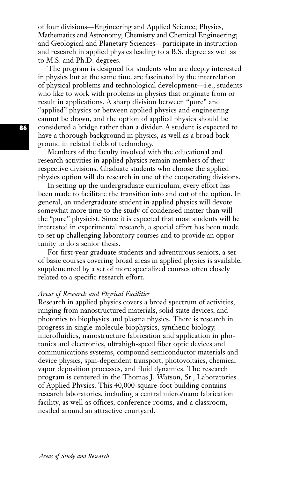of four divisions—Engineering and Applied Science; Physics, Mathematics and Astronomy; Chemistry and Chemical Engineering; and Geological and Planetary Sciences—participate in instruction and research in applied physics leading to a B.S. degree as well as to M.S. and Ph.D. degrees.

The program is designed for students who are deeply interested in physics but at the same time are fascinated by the interrelation of physical problems and technological development—i.e., students who like to work with problems in physics that originate from or result in applications. A sharp division between "pure" and "applied" physics or between applied physics and engineering cannot be drawn, and the option of applied physics should be considered a bridge rather than a divider. A student is expected to have a thorough background in physics, as well as a broad background in related fields of technology.

Members of the faculty involved with the educational and research activities in applied physics remain members of their respective divisions. Graduate students who choose the applied physics option will do research in one of the cooperating divisions.

In setting up the undergraduate curriculum, every effort has been made to facilitate the transition into and out of the option. In general, an undergraduate student in applied physics will devote somewhat more time to the study of condensed matter than will the "pure'' physicist. Since it is expected that most students will be interested in experimental research, a special effort has been made to set up challenging laboratory courses and to provide an opportunity to do a senior thesis.

For first-year graduate students and adventurous seniors, a set of basic courses covering broad areas in applied physics is available, supplemented by a set of more specialized courses often closely related to a specific research effort.

#### *Areas of Research and Physical Facilities*

Research in applied physics covers a broad spectrum of activities, ranging from nanostructured materials, solid state devices, and photonics to biophysics and plasma physics. There is research in progress in single-molecule biophysics, synthetic biology, microfluidics, nanostructure fabrication and application in photonics and electronics, ultrahigh-speed fiber optic devices and communications systems, compound semiconductor materials and device physics, spin-dependent transport, photovoltaics, chemical vapor deposition processes, and fluid dynamics. The research program is centered in the Thomas J. Watson, Sr., Laboratories of Applied Physics. This 40,000-square-foot building contains research laboratories, including a central micro/nano fabrication facility, as well as offices, conference rooms, and a classroom, nestled around an attractive courtyard.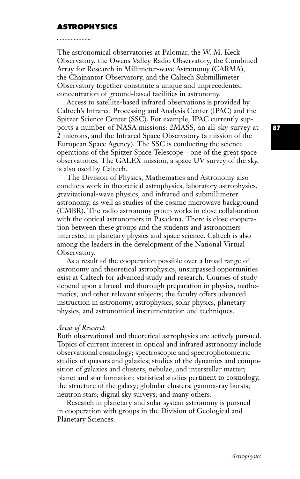### **ASTROPHYSICS**

The astronomical observatories at Palomar, the W. M. Keck Observatory, the Owens Valley Radio Observatory, the Combined Array for Research in Millimeter-wave Astronomy (CARMA), the Chajnantor Observatory, and the Caltech Submillimeter Observatory together constitute a unique and unprecedented concentration of ground-based facilities in astronomy.

Access to satellite-based infrared observations is provided by Caltech's Infrared Processing and Analysis Center (IPAC) and the Spitzer Science Center (SSC). For example, IPAC currently supports a number of NASA missions: 2MASS, an all-sky survey at 2 microns, and the Infrared Space Observatory (a mission of the European Space Agency). The SSC is conducting the science operations of the Spitzer Space Telescope—one of the great space observatories. The GALEX mission, a space UV survey of the sky, is also used by Caltech.

The Division of Physics, Mathematics and Astronomy also conducts work in theoretical astrophysics, laboratory astrophysics, gravitational-wave physics, and infrared and submillimeter astronomy, as well as studies of the cosmic microwave background (CMBR). The radio astronomy group works in close collaboration with the optical astronomers in Pasadena. There is close cooperation between these groups and the students and astronomers interested in planetary physics and space science. Caltech is also among the leaders in the development of the National Virtual Observatory.

As a result of the cooperation possible over a broad range of astronomy and theoretical astrophysics, unsurpassed opportunities exist at Caltech for advanced study and research. Courses of study depend upon a broad and thorough preparation in physics, mathematics, and other relevant subjects; the faculty offers advanced instruction in astronomy, astrophysics, solar physics, planetary physics, and astronomical instrumentation and techniques.

#### *Areas of Research*

Both observational and theoretical astrophysics are actively pursued. Topics of current interest in optical and infrared astronomy include observational cosmology; spectroscopic and spectrophotometric studies of quasars and galaxies; studies of the dynamics and composition of galaxies and clusters, nebulae, and interstellar matter; planet and star formation; statistical studies pertinent to cosmology, the structure of the galaxy; globular clusters; gamma-ray bursts; neutron stars; digital sky surveys; and many others.

Research in planetary and solar system astronomy is pursued in cooperation with groups in the Division of Geological and Planetary Sciences.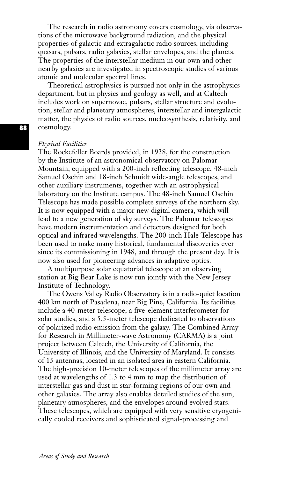The research in radio astronomy covers cosmology, via observations of the microwave background radiation, and the physical properties of galactic and extragalactic radio sources, including quasars, pulsars, radio galaxies, stellar envelopes, and the planets. The properties of the interstellar medium in our own and other nearby galaxies are investigated in spectroscopic studies of various atomic and molecular spectral lines.

Theoretical astrophysics is pursued not only in the astrophysics department, but in physics and geology as well, and at Caltech includes work on supernovae, pulsars, stellar structure and evolution, stellar and planetary atmospheres, interstellar and intergalactic matter, the physics of radio sources, nucleosynthesis, relativity, and cosmology.

#### *Physical Facilities*

The Rockefeller Boards provided, in 1928, for the construction by the Institute of an astronomical observatory on Palomar Mountain, equipped with a 200-inch reflecting telescope, 48-inch Samuel Oschin and 18-inch Schmidt wide-angle telescopes, and other auxiliary instruments, together with an astrophysical laboratory on the Institute campus. The 48-inch Samuel Oschin Telescope has made possible complete surveys of the northern sky. It is now equipped with a major new digital camera, which will lead to a new generation of sky surveys. The Palomar telescopes have modern instrumentation and detectors designed for both optical and infrared wavelengths. The 200-inch Hale Telescope has been used to make many historical, fundamental discoveries ever since its commissioning in 1948, and through the present day. It is now also used for pioneering advances in adaptive optics.

A multipurpose solar equatorial telescope at an observing station at Big Bear Lake is now run jointly with the New Jersey Institute of Technology.

The Owens Valley Radio Observatory is in a radio-quiet location 400 km north of Pasadena, near Big Pine, California. Its facilities include a 40-meter telescope, a five-element interferometer for solar studies, and a 5.5-meter telescope dedicated to observations of polarized radio emission from the galaxy. The Combined Array for Research in Millimeter-wave Astronomy (CARMA) is a joint project between Caltech, the University of California, the University of Illinois, and the University of Maryland. It consists of 15 antennas, located in an isolated area in eastern California. The high-precision 10-meter telescopes of the millimeter array are used at wavelengths of 1.3 to 4 mm to map the distribution of interstellar gas and dust in star-forming regions of our own and other galaxies. The array also enables detailed studies of the sun, planetary atmospheres, and the envelopes around evolved stars. These telescopes, which are equipped with very sensitive cryogenically cooled receivers and sophisticated signal-processing and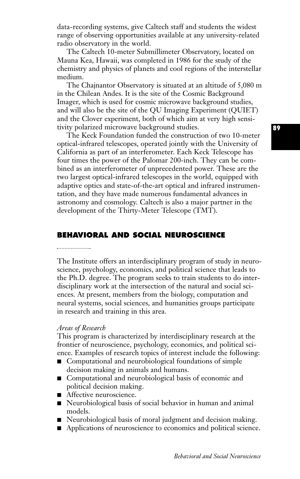data-recording systems, give Caltech staff and students the widest range of observing opportunities available at any university-related radio observatory in the world.

The Caltech 10-meter Submillimeter Observatory, located on Mauna Kea, Hawaii, was completed in 1986 for the study of the chemistry and physics of planets and cool regions of the interstellar medium.

The Chajnantor Observatory is situated at an altitude of 5,080 m in the Chilean Andes. It is the site of the Cosmic Background Imager, which is used for cosmic microwave background studies, and will also be the site of the QU Imaging Experiment (QUIET) and the Clover experiment, both of which aim at very high sensitivity polarized microwave background studies.

The Keck Foundation funded the construction of two 10-meter optical-infrared telescopes, operated jointly with the University of California as part of an interferometer. Each Keck Telescope has four times the power of the Palomar 200-inch. They can be combined as an interferometer of unprecedented power. These are the two largest optical-infrared telescopes in the world, equipped with adaptive optics and state-of-the-art optical and infrared instrumentation, and they have made numerous fundamental advances in astronomy and cosmology. Caltech is also a major partner in the development of the Thirty-Meter Telescope (TMT).

# **BEHAVIORAL AND SOCIAL NEUROSCIENCE**

#### 

The Institute offers an interdisciplinary program of study in neuroscience, psychology, economics, and political science that leads to the Ph.D. degree. The program seeks to train students to do interdisciplinary work at the intersection of the natural and social sciences. At present, members from the biology, computation and neural systems, social sciences, and humanities groups participate in research and training in this area.

#### *Areas of Research*

This program is characterized by interdisciplinary research at the frontier of neuroscience, psychology, economics, and political science. Examples of research topics of interest include the following:

- Computational and neurobiological foundations of simple decision making in animals and humans.
- Computational and neurobiological basis of economic and political decision making.
- Affective neuroscience.
- Neurobiological basis of social behavior in human and animal models.
- Neurobiological basis of moral judgment and decision making.
- Applications of neuroscience to economics and political science.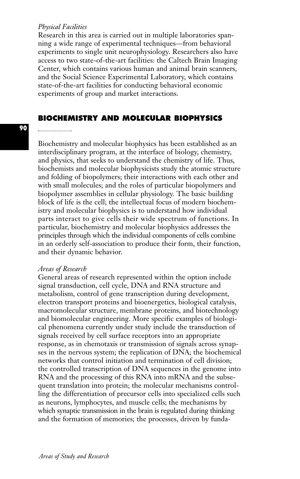#### *Physical Facilities*

Research in this area is carried out in multiple laboratories spanning a wide range of experimental techniques—from behavioral experiments to single unit neurophysiology. Researchers also have access to two state-of-the-art facilities: the Caltech Brain Imaging Center, which contains various human and animal brain scanners, and the Social Science Experimental Laboratory, which contains state-of-the-art facilities for conducting behavioral economic experiments of group and market interactions.

# **BIOCHEMISTRY AND MOLECULAR BIOPHYSICS**

#### 

**90**

Biochemistry and molecular biophysics has been established as an interdisciplinary program, at the interface of biology, chemistry, and physics, that seeks to understand the chemistry of life. Thus, biochemists and molecular biophysicists study the atomic structure and folding of biopolymers; their interactions with each other and with small molecules; and the roles of particular biopolymers and biopolymer assemblies in cellular physiology. The basic building block of life is the cell; the intellectual focus of modern biochemistry and molecular biophysics is to understand how individual parts interact to give cells their wide spectrum of functions. In particular, biochemistry and molecular biophysics addresses the principles through which the individual components of cells combine in an orderly self-association to produce their form, their function, and their dynamic behavior.

#### *Areas of Research*

General areas of research represented within the option include signal transduction, cell cycle, DNA and RNA structure and metabolism, control of gene transcription during development, electron transport proteins and bioenergetics, biological catalysis, macromolecular structure, membrane proteins, and biotechnology and biomolecular engineering. More specific examples of biological phenomena currently under study include the transduction of signals received by cell surface receptors into an appropriate response, as in chemotaxis or transmission of signals across synapses in the nervous system; the replication of DNA; the biochemical networks that control initiation and termination of cell division; the controlled transcription of DNA sequences in the genome into RNA and the processing of this RNA into mRNA and the subsequent translation into protein; the molecular mechanisms controlling the differentiation of precursor cells into specialized cells such as neurons, lymphocytes, and muscle cells; the mechanisms by which synaptic transmission in the brain is regulated during thinking and the formation of memories; the processes, driven by funda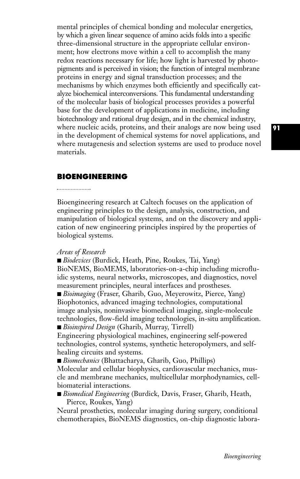mental principles of chemical bonding and molecular energetics, by which a given linear sequence of amino acids folds into a specific three-dimensional structure in the appropriate cellular environment; how electrons move within a cell to accomplish the many redox reactions necessary for life; how light is harvested by photopigments and is perceived in vision; the function of integral membrane proteins in energy and signal transduction processes; and the mechanisms by which enzymes both efficiently and specifically catalyze biochemical interconversions. This fundamental understanding of the molecular basis of biological processes provides a powerful base for the development of applications in medicine, including biotechnology and rational drug design, and in the chemical industry, where nucleic acids, proteins, and their analogs are now being used in the development of chemical systems for novel applications, and where mutagenesis and selection systems are used to produce novel materials.

## **BIOENGINEERING**

Bioengineering research at Caltech focuses on the application of engineering principles to the design, analysis, construction, and manipulation of biological systems, and on the discovery and application of new engineering principles inspired by the properties of biological systems.

#### *Areas of Research*

■ *Biodevices* (Burdick, Heath, Pine, Roukes, Tai, Yang) BioNEMS, BioMEMS, laboratories-on-a-chip including microfluidic systems, neural networks, microscopes, and diagnostics, novel measurement principles, neural interfaces and prostheses.

■ *Bioimaging* (Fraser, Gharib, Guo, Meyerowitz, Pierce, Yang) Biophotonics, advanced imaging technologies, computational image analysis, noninvasive biomedical imaging, single-molecule technologies, flow-field imaging technologies, in-situ amplification. ■ *Bioinspired Design* (Gharib, Murray, Tirrell)

Engineering physiological machines, engineering self-powered technologies, control systems, synthetic heteropolymers, and selfhealing circuits and systems.

■ *Biomechanics* (Bhattacharya, Gharib, Guo, Phillips)

Molecular and cellular biophysics, cardiovascular mechanics, muscle and membrane mechanics, multicellular morphodynamics, cellbiomaterial interactions.

**■** *Biomedical Engineering* (Burdick, Davis, Fraser, Gharib, Heath, Pierce, Roukes, Yang)

Neural prosthetics, molecular imaging during surgery, conditional chemotherapies, BioNEMS diagnostics, on-chip diagnostic labora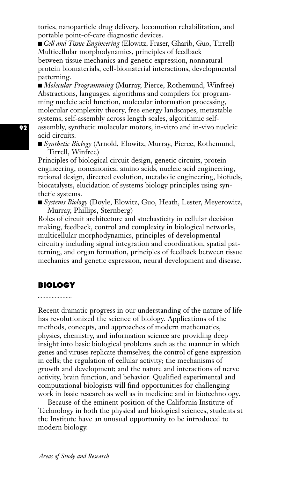tories, nanoparticle drug delivery, locomotion rehabilitation, and portable point-of-care diagnostic devices.

■ *Cell and Tissue Engineering* (Elowitz, Fraser, Gharib, Guo, Tirrell) Multicellular morphodynamics, principles of feedback between tissue mechanics and genetic expression, nonnatural protein biomaterials, cell-biomaterial interactions, developmental patterning.

■ *Molecular Programming* (Murray, Pierce, Rothemund, Winfree) Abstractions, languages, algorithms and compilers for programming nucleic acid function, molecular information processing, molecular complexity theory, free energy landscapes, metastable systems, self-assembly across length scales, algorithmic selfassembly, synthetic molecular motors, in-vitro and in-vivo nucleic acid circuits.

■ *Synthetic Biology* (Arnold, Elowitz, Murray, Pierce, Rothemund, Tirrell, Winfree)

Principles of biological circuit design, genetic circuits, protein engineering, noncanonical amino acids, nucleic acid engineering, rational design, directed evolution, metabolic engineering, biofuels, biocatalysts, elucidation of systems biology principles using synthetic systems.

**■** *Systems Biology* (Doyle, Elowitz, Guo, Heath, Lester, Meyerowitz, Murray, Phillips, Sternberg)

Roles of circuit architecture and stochasticity in cellular decision making, feedback, control and complexity in biological networks, multicellular morphodynamics, principles of developmental circuitry including signal integration and coordination, spatial patterning, and organ formation, principles of feedback between tissue mechanics and genetic expression, neural development and disease.

### **BIOLOGY**

Recent dramatic progress in our understanding of the nature of life has revolutionized the science of biology. Applications of the methods, concepts, and approaches of modern mathematics, physics, chemistry, and information science are providing deep insight into basic biological problems such as the manner in which genes and viruses replicate themselves; the control of gene expression in cells; the regulation of cellular activity; the mechanisms of growth and development; and the nature and interactions of nerve activity, brain function, and behavior. Qualified experimental and computational biologists will find opportunities for challenging work in basic research as well as in medicine and in biotechnology.

Because of the eminent position of the California Institute of Technology in both the physical and biological sciences, students at the Institute have an unusual opportunity to be introduced to modern biology.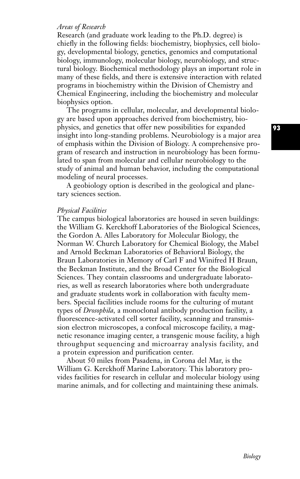## *Areas of Research*

Research (and graduate work leading to the Ph.D. degree) is chiefly in the following fields: biochemistry, biophysics, cell biology, developmental biology, genetics, genomics and computational biology, immunology, molecular biology, neurobiology, and structural biology. Biochemical methodology plays an important role in many of these fields, and there is extensive interaction with related programs in biochemistry within the Division of Chemistry and Chemical Engineering, including the biochemistry and molecular biophysics option.

The programs in cellular, molecular, and developmental biology are based upon approaches derived from biochemistry, biophysics, and genetics that offer new possibilities for expanded insight into long-standing problems. Neurobiology is a major area of emphasis within the Division of Biology. A comprehensive program of research and instruction in neurobiology has been formulated to span from molecular and cellular neurobiology to the study of animal and human behavior, including the computational modeling of neural processes.

A geobiology option is described in the geological and planetary sciences section.

#### *Physical Facilities*

The campus biological laboratories are housed in seven buildings: the William G. Kerckhoff Laboratories of the Biological Sciences, the Gordon A. Alles Laboratory for Molecular Biology, the Norman W. Church Laboratory for Chemical Biology, the Mabel and Arnold Beckman Laboratories of Behavioral Biology, the Braun Laboratories in Memory of Carl F and Winifred H Braun, the Beckman Institute, and the Broad Center for the Biological Sciences. They contain classrooms and undergraduate laboratories, as well as research laboratories where both undergraduate and graduate students work in collaboration with faculty members. Special facilities include rooms for the culturing of mutant types of *Drosophila,* a monoclonal antibody production facility, a fluorescence-activated cell sorter facility, scanning and transmission electron microscopes, a confocal microscope facility, a magnetic resonance imaging center, a transgenic mouse facility, a high throughput sequencing and microarray analysis facility, and a protein expression and purification center.

About 50 miles from Pasadena, in Corona del Mar, is the William G. Kerckhoff Marine Laboratory. This laboratory provides facilities for research in cellular and molecular biology using marine animals, and for collecting and maintaining these animals.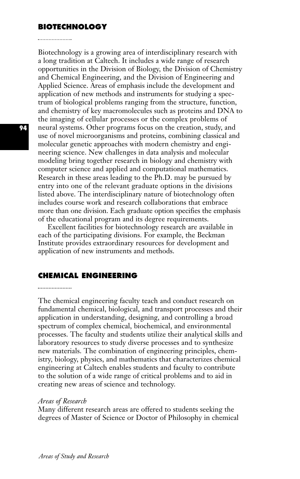# **BIOTECHNOLOGY**

Biotechnology is a growing area of interdisciplinary research with a long tradition at Caltech. It includes a wide range of research opportunities in the Division of Biology, the Division of Chemistry and Chemical Engineering, and the Division of Engineering and Applied Science. Areas of emphasis include the development and application of new methods and instruments for studying a spectrum of biological problems ranging from the structure, function, and chemistry of key macromolecules such as proteins and DNA to the imaging of cellular processes or the complex problems of neural systems. Other programs focus on the creation, study, and use of novel microorganisms and proteins, combining classical and molecular genetic approaches with modern chemistry and engineering science. New challenges in data analysis and molecular modeling bring together research in biology and chemistry with computer science and applied and computational mathematics. Research in these areas leading to the Ph.D. may be pursued by entry into one of the relevant graduate options in the divisions listed above. The interdisciplinary nature of biotechnology often includes course work and research collaborations that embrace more than one division. Each graduate option specifies the emphasis of the educational program and its degree requirements.

Excellent facilities for biotechnology research are available in each of the participating divisions. For example, the Beckman Institute provides extraordinary resources for development and application of new instruments and methods.

## **CHEMICAL ENGINEERING**

The chemical engineering faculty teach and conduct research on fundamental chemical, biological, and transport processes and their application in understanding, designing, and controlling a broad spectrum of complex chemical, biochemical, and environmental processes. The faculty and students utilize their analytical skills and laboratory resources to study diverse processes and to synthesize new materials. The combination of engineering principles, chemistry, biology, physics, and mathematics that characterizes chemical engineering at Caltech enables students and faculty to contribute to the solution of a wide range of critical problems and to aid in creating new areas of science and technology.

#### *Areas of Research*

Many different research areas are offered to students seeking the degrees of Master of Science or Doctor of Philosophy in chemical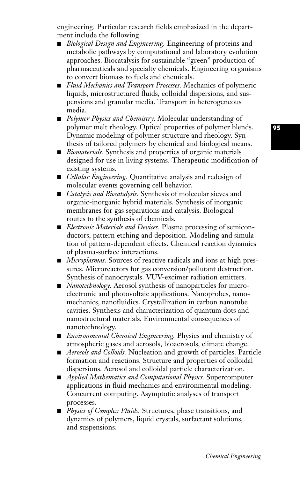engineering. Particular research fields emphasized in the department include the following:

- *Biological Design and Engineering*. Engineering of proteins and metabolic pathways by computational and laboratory evolution approaches. Biocatalysis for sustainable "green" production of pharmaceuticals and specialty chemicals. Engineering organisms to convert biomass to fuels and chemicals.
- *Fluid Mechanics and Transport Processes*. Mechanics of polymeric liquids, microstructured fluids, colloidal dispersions, and suspensions and granular media. Transport in heterogeneous media.
- **■** *Polymer Physics and Chemistry.* Molecular understanding of polymer melt rheology. Optical properties of polymer blends. Dynamic modeling of polymer structure and rheology. Synthesis of tailored polymers by chemical and biological means.
- *Biomaterials*. Synthesis and properties of organic materials designed for use in living systems. Therapeutic modification of existing systems.
- *Cellular Engineering.* Quantitative analysis and redesign of molecular events governing cell behavior.
- *Catalysis and Biocatalysis*. Synthesis of molecular sieves and organic-inorganic hybrid materials. Synthesis of inorganic membranes for gas separations and catalysis. Biological routes to the synthesis of chemicals.
- *Electronic Materials and Devices*. Plasma processing of semiconductors, pattern etching and deposition. Modeling and simulation of pattern-dependent effects. Chemical reaction dynamics of plasma-surface interactions.
- *Microplasmas*. Sources of reactive radicals and ions at high pressures. Microreactors for gas conversion/pollutant destruction. Synthesis of nanocrystals. VUV-excimer radiation emitters.
- *Nanotechnology*. Aerosol synthesis of nanoparticles for microelectronic and photovoltaic applications. Nanoprobes, nanomechanics, nanofluidics. Crystallization in carbon nanotube cavities. Synthesis and characterization of quantum dots and nanostructural materials. Environmental consequences of nanotechnology.
- *Environmental Chemical Engineering*. Physics and chemistry of atmospheric gases and aerosols, bioaerosols, climate change.
- *Aerosols and Colloids*. Nucleation and growth of particles. Particle formation and reactions. Structure and properties of colloidal dispersions. Aerosol and colloidal particle characterization.
- **■** *Applied Mathematics and Computational Physics.* Supercomputer applications in fluid mechanics and environmental modeling. Concurrent computing. Asymptotic analyses of transport processes.
- *Physics of Complex Fluids*. Structures, phase transitions, and dynamics of polymers, liquid crystals, surfactant solutions, and suspensions.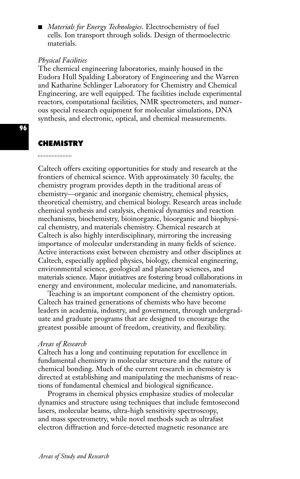■ *Materials for Energy Technologies*. Electrochemistry of fuel cells. Ion transport through solids. Design of thermoelectric materials.

## *Physical Facilities*

The chemical engineering laboratories, mainly housed in the Eudora Hull Spalding Laboratory of Engineering and the Warren and Katharine Schlinger Laboratory for Chemistry and Chemical Engineering, are well equipped. The facilities include experimental reactors, computational facilities, NMR spectrometers, and numerous special research equipment for molecular simulations, DNA synthesis, and electronic, optical, and chemical measurements.

#### **CHEMISTRY**

Caltech offers exciting opportunities for study and research at the frontiers of chemical science. With approximately 30 faculty, the chemistry program provides depth in the traditional areas of chemistry—organic and inorganic chemistry, chemical physics, theoretical chemistry, and chemical biology. Research areas include chemical synthesis and catalysis, chemical dynamics and reaction mechanisms, biochemistry, bioinorganic, bioorganic and biophysical chemistry, and materials chemistry. Chemical research at Caltech is also highly interdisciplinary, mirroring the increasing importance of molecular understanding in many fields of science. Active interactions exist between chemistry and other disciplines at Caltech, especially applied physics, biology, chemical engineering, environmental science, geological and planetary sciences, and materials science. Major initiatives are fostering broad collaborations in energy and environment, molecular medicine, and nanomaterials.

Teaching is an important component of the chemistry option. Caltech has trained generations of chemists who have become leaders in academia, industry, and government, through undergraduate and graduate programs that are designed to encourage the greatest possible amount of freedom, creativity, and flexibility.

#### *Areas of Research*

Caltech has a long and continuing reputation for excellence in fundamental chemistry in molecular structure and the nature of chemical bonding. Much of the current research in chemistry is directed at establishing and manipulating the mechanisms of reactions of fundamental chemical and biological significance.

Programs in chemical physics emphasize studies of molecular dynamics and structure using techniques that include femtosecond lasers, molecular beams, ultra-high sensitivity spectroscopy, and mass spectrometry, while novel methods such as ultrafast electron diffraction and force-detected magnetic resonance are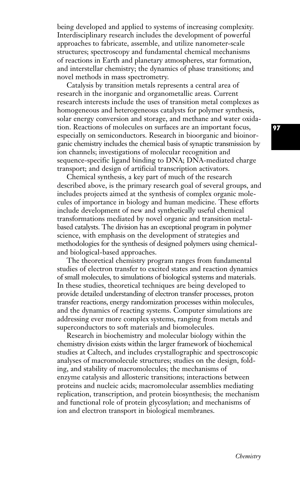being developed and applied to systems of increasing complexity. Interdisciplinary research includes the development of powerful approaches to fabricate, assemble, and utilize nanometer-scale structures; spectroscopy and fundamental chemical mechanisms of reactions in Earth and planetary atmospheres, star formation, and interstellar chemistry; the dynamics of phase transitions; and novel methods in mass spectrometry.

Catalysis by transition metals represents a central area of research in the inorganic and organometallic areas. Current research interests include the uses of transition metal complexes as homogeneous and heterogeneous catalysts for polymer synthesis, solar energy conversion and storage, and methane and water oxidation. Reactions of molecules on surfaces are an important focus, especially on semiconductors. Research in bioorganic and bioinorganic chemistry includes the chemical basis of synaptic transmission by ion channels; investigations of molecular recognition and sequence-specific ligand binding to DNA; DNA-mediated charge transport; and design of artificial transcription activators.

Chemical synthesis, a key part of much of the research described above, is the primary research goal of several groups, and includes projects aimed at the synthesis of complex organic molecules of importance in biology and human medicine. These efforts include development of new and synthetically useful chemical transformations mediated by novel organic and transition metalbased catalysts. The division has an exceptional program in polymer science, with emphasis on the development of strategies and methodologies for the synthesis of designed polymers using chemicaland biological-based approaches.

The theoretical chemistry program ranges from fundamental studies of electron transfer to excited states and reaction dynamics of small molecules, to simulations of biological systems and materials. In these studies, theoretical techniques are being developed to provide detailed understanding of electron transfer processes, proton transfer reactions, energy randomization processes within molecules, and the dynamics of reacting systems. Computer simulations are addressing ever more complex systems, ranging from metals and superconductors to soft materials and biomolecules.

Research in biochemistry and molecular biology within the chemistry division exists within the larger framework of biochemical studies at Caltech, and includes crystallographic and spectroscopic analyses of macromolecule structures; studies on the design, folding, and stability of macromolecules; the mechanisms of enzyme catalysis and allosteric transitions; interactions between proteins and nucleic acids; macromolecular assemblies mediating replication, transcription, and protein biosynthesis; the mechanism and functional role of protein glycosylation; and mechanisms of ion and electron transport in biological membranes.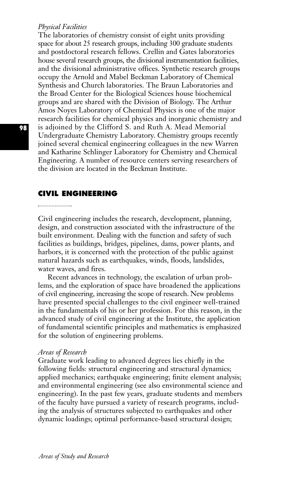#### *Physical Facilities*

The laboratories of chemistry consist of eight units providing space for about 25 research groups, including 300 graduate students and postdoctoral research fellows. Crellin and Gates laboratories house several research groups, the divisional instrumentation facilities, and the divisional administrative offices. Synthetic research groups occupy the Arnold and Mabel Beckman Laboratory of Chemical Synthesis and Church laboratories. The Braun Laboratories and the Broad Center for the Biological Sciences house biochemical groups and are shared with the Division of Biology. The Arthur Amos Noyes Laboratory of Chemical Physics is one of the major research facilities for chemical physics and inorganic chemistry and is adjoined by the Clifford S. and Ruth A. Mead Memorial Undergraduate Chemistry Laboratory. Chemistry groups recently joined several chemical engineering colleagues in the new Warren and Katharine Schlinger Laboratory for Chemistry and Chemical Engineering. A number of resource centers serving researchers of the division are located in the Beckman Institute.

#### **CIVIL ENGINEERING**

Civil engineering includes the research, development, planning, design, and construction associated with the infrastructure of the built environment. Dealing with the function and safety of such facilities as buildings, bridges, pipelines, dams, power plants, and harbors, it is concerned with the protection of the public against natural hazards such as earthquakes, winds, floods, landslides, water waves, and fires.

Recent advances in technology, the escalation of urban problems, and the exploration of space have broadened the applications of civil engineering, increasing the scope of research. New problems have presented special challenges to the civil engineer well-trained in the fundamentals of his or her profession. For this reason, in the advanced study of civil engineering at the Institute, the application of fundamental scientific principles and mathematics is emphasized for the solution of engineering problems.

#### *Areas of Research*

Graduate work leading to advanced degrees lies chiefly in the following fields: structural engineering and structural dynamics; applied mechanics; earthquake engineering; finite element analysis; and environmental engineering (see also environmental science and engineering). In the past few years, graduate students and members of the faculty have pursued a variety of research programs, including the analysis of structures subjected to earthquakes and other dynamic loadings; optimal performance-based structural design;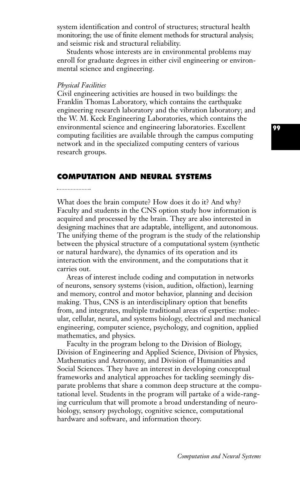system identification and control of structures; structural health monitoring; the use of finite element methods for structural analysis; and seismic risk and structural reliability.

Students whose interests are in environmental problems may enroll for graduate degrees in either civil engineering or environmental science and engineering.

#### *Physical Facilities*

Civil engineering activities are housed in two buildings: the Franklin Thomas Laboratory, which contains the earthquake engineering research laboratory and the vibration laboratory; and the W. M. Keck Engineering Laboratories, which contains the environmental science and engineering laboratories. Excellent computing facilities are available through the campus computing network and in the specialized computing centers of various research groups.

# **COMPUTATION AND NEURAL SYSTEMS**

What does the brain compute? How does it do it? And why? Faculty and students in the CNS option study how information is acquired and processed by the brain. They are also interested in designing machines that are adaptable, intelligent, and autonomous. The unifying theme of the program is the study of the relationship between the physical structure of a computational system (synthetic or natural hardware), the dynamics of its operation and its interaction with the environment, and the computations that it carries out.

Areas of interest include coding and computation in networks of neurons, sensory systems (vision, audition, olfaction), learning and memory, control and motor behavior, planning and decision making. Thus, CNS is an interdisciplinary option that benefits from, and integrates, multiple traditional areas of expertise: molecular, cellular, neural, and systems biology, electrical and mechanical engineering, computer science, psychology, and cognition, applied mathematics, and physics.

Faculty in the program belong to the Division of Biology, Division of Engineering and Applied Science, Division of Physics, Mathematics and Astronomy, and Division of Humanities and Social Sciences. They have an interest in developing conceptual frameworks and analytical approaches for tackling seemingly disparate problems that share a common deep structure at the computational level. Students in the program will partake of a wide-ranging curriculum that will promote a broad understanding of neurobiology, sensory psychology, cognitive science, computational hardware and software, and information theory.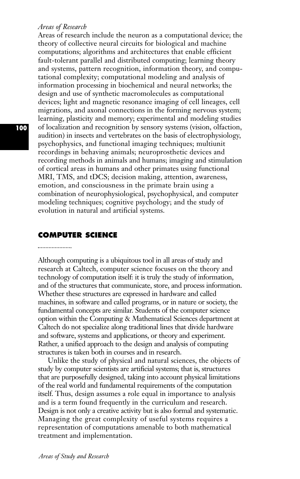#### *Areas of Research*

Areas of research include the neuron as a computational device; the theory of collective neural circuits for biological and machine computations; algorithms and architectures that enable efficient fault-tolerant parallel and distributed computing; learning theory and systems, pattern recognition, information theory, and computational complexity; computational modeling and analysis of information processing in biochemical and neural networks; the design and use of synthetic macromolecules as computational devices; light and magnetic resonance imaging of cell lineages, cell migrations, and axonal connections in the forming nervous system; learning, plasticity and memory; experimental and modeling studies of localization and recognition by sensory systems (vision, olfaction, audition) in insects and vertebrates on the basis of electrophysiology, psychophysics, and functional imaging techniques; multiunit recordings in behaving animals; neuroprosthetic devices and recording methods in animals and humans; imaging and stimulation of cortical areas in humans and other primates using functional MRI, TMS, and tDCS; decision making, attention, awareness, emotion, and consciousness in the primate brain using a combination of neurophysiological, psychophysical, and computer modeling techniques; cognitive psychology; and the study of evolution in natural and artificial systems.

# **COMPUTER SCIENCE**

Although computing is a ubiquitous tool in all areas of study and research at Caltech, computer science focuses on the theory and technology of computation itself: it is truly the study of information, and of the structures that communicate, store, and process information. Whether these structures are expressed in hardware and called machines, in software and called programs, or in nature or society, the fundamental concepts are similar. Students of the computer science option within the Computing & Mathematical Sciences department at Caltech do not specialize along traditional lines that divide hardware and software, systems and applications, or theory and experiment. Rather, a unified approach to the design and analysis of computing structures is taken both in courses and in research.

Unlike the study of physical and natural sciences, the objects of study by computer scientists are artificial systems; that is, structures that are purposefully designed, taking into account physical limitations of the real world and fundamental requirements of the computation itself. Thus, design assumes a role equal in importance to analysis and is a term found frequently in the curriculum and research. Design is not only a creative activity but is also formal and systematic. Managing the great complexity of useful systems requires a representation of computations amenable to both mathematical treatment and implementation.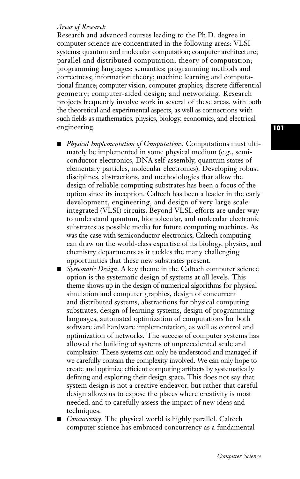# *Areas of Research*

Research and advanced courses leading to the Ph.D. degree in computer science are concentrated in the following areas: VLSI systems; quantum and molecular computation; computer architecture; parallel and distributed computation; theory of computation; programming languages; semantics; programming methods and correctness; information theory; machine learning and computational finance; computer vision; computer graphics; discrete differential geometry; computer-aided design; and networking. Research projects frequently involve work in several of these areas, with both the theoretical and experimental aspects, as well as connections with such fields as mathematics, physics, biology, economics, and electrical engineering.

- *Physical Implementation of Computations*. Computations must ultimately be implemented in some physical medium (e.g., semiconductor electronics, DNA self-assembly, quantum states of elementary particles, molecular electronics). Developing robust disciplines, abstractions, and methodologies that allow the design of reliable computing substrates has been a focus of the option since its inception. Caltech has been a leader in the early development, engineering, and design of very large scale integrated (VLSI) circuits. Beyond VLSI, efforts are under way to understand quantum, biomolecular, and molecular electronic substrates as possible media for future computing machines. As was the case with semiconductor electronics, Caltech computing can draw on the world-class expertise of its biology, physics, and chemistry departments as it tackles the many challenging opportunities that these new substrates present.
- *Systematic Design*. A key theme in the Caltech computer science option is the systematic design of systems at all levels. This theme shows up in the design of numerical algorithms for physical simulation and computer graphics, design of concurrent and distributed systems, abstractions for physical computing substrates, design of learning systems, design of programming languages, automated optimization of computations for both software and hardware implementation, as well as control and optimization of networks. The success of computer systems has allowed the building of systems of unprecedented scale and complexity. These systems can only be understood and managed if we carefully contain the complexity involved. We can only hope to create and optimize efficient computing artifacts by systematically defining and exploring their design space. This does not say that system design is not a creative endeavor, but rather that careful design allows us to expose the places where creativity is most needed, and to carefully assess the impact of new ideas and techniques.
- **■** *Concurrency.* The physical world is highly parallel. Caltech computer science has embraced concurrency as a fundamental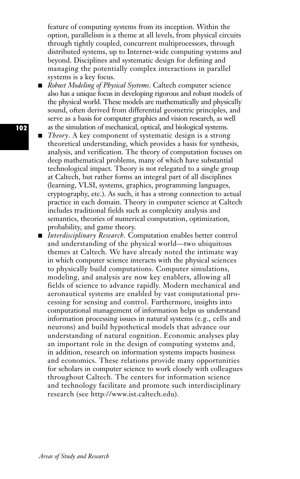feature of computing systems from its inception. Within the option, parallelism is a theme at all levels, from physical circuits through tightly coupled, concurrent multiprocessors, through distributed systems, up to Internet-wide computing systems and beyond. Disciplines and systematic design for defining and managing the potentially complex interactions in parallel systems is a key focus.

- *Robust Modeling of Physical Systems*. Caltech computer science also has a unique focus in developing rigorous and robust models of the physical world. These models are mathematically and physically sound, often derived from differential geometric principles, and serve as a basis for computer graphics and vision research, as well as the simulation of mechanical, optical, and biological systems.
- **■** *Theory*. A key component of systematic design is a strong theoretical understanding, which provides a basis for synthesis, analysis, and verification. The theory of computation focuses on deep mathematical problems, many of which have substantial technological impact. Theory is not relegated to a single group at Caltech, but rather forms an integral part of all disciplines (learning, VLSI, systems, graphics, programming languages, cryptography, etc.). As such, it has a strong connection to actual practice in each domain. Theory in computer science at Caltech includes traditional fields such as complexity analysis and semantics, theories of numerical computation, optimization, probability, and game theory.
- *Interdisciplinary Research*. Computation enables better control and understanding of the physical world—two ubiquitous themes at Caltech. We have already noted the intimate way in which computer science interacts with the physical sciences to physically build computations. Computer simulations, modeling, and analysis are now key enablers, allowing all fields of science to advance rapidly. Modern mechanical and aeronautical systems are enabled by vast computational processing for sensing and control. Furthermore, insights into computational management of information helps us understand information processing issues in natural systems (e.g., cells and neurons) and build hypothetical models that advance our understanding of natural cognition. Economic analyses play an important role in the design of computing systems and, in addition, research on information systems impacts business and economics. These relations provide many opportunities for scholars in computer science to work closely with colleagues throughout Caltech. The centers for information science and technology facilitate and promote such interdisciplinary research (see http://www.ist.caltech.edu).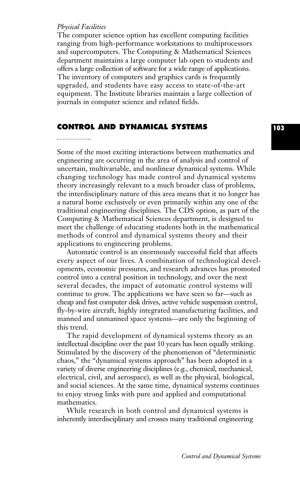#### *Physical Facilities*

The computer science option has excellent computing facilities ranging from high-performance workstations to multiprocessors and supercomputers. The Computing & Mathematical Sciences department maintains a large computer lab open to students and offers a large collection of software for a wide range of applications. The inventory of computers and graphics cards is frequently upgraded, and students have easy access to state-of-the-art equipment. The Institute libraries maintain a large collection of journals in computer science and related fields.

# **CONTROL AND DYNAMICAL SYSTEMS**

Some of the most exciting interactions between mathematics and engineering are occurring in the area of analysis and control of uncertain, multivariable, and nonlinear dynamical systems. While changing technology has made control and dynamical systems theory increasingly relevant to a much broader class of problems, the interdisciplinary nature of this area means that it no longer has a natural home exclusively or even primarily within any one of the traditional engineering disciplines. The CDS option, as part of the Computing & Mathematical Sciences department, is designed to meet the challenge of educating students both in the mathematical methods of control and dynamical systems theory and their applications to engineering problems.

Automatic control is an enormously successful field that affects every aspect of our lives. A combination of technological developments, economic pressures, and research advances has promoted control into a central position in technology, and over the next several decades, the impact of automatic control systems will continue to grow. The applications we have seen so far—such as cheap and fast computer disk drives, active vehicle suspension control, fly-by-wire aircraft, highly integrated manufacturing facilities, and manned and unmanned space systems—are only the beginning of this trend.

The rapid development of dynamical systems theory as an intellectual discipline over the past 10 years has been equally striking. Stimulated by the discovery of the phenomenon of "deterministic chaos," the "dynamical systems approach" has been adopted in a variety of diverse engineering disciplines (e.g., chemical, mechanical, electrical, civil, and aerospace), as well as the physical, biological, and social sciences. At the same time, dynamical systems continues to enjoy strong links with pure and applied and computational mathematics.

While research in both control and dynamical systems is inherently interdisciplinary and crosses many traditional engineering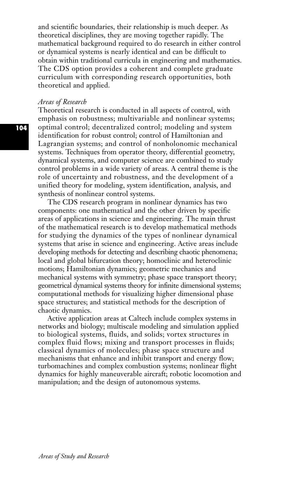and scientific boundaries, their relationship is much deeper. As theoretical disciplines, they are moving together rapidly. The mathematical background required to do research in either control or dynamical systems is nearly identical and can be difficult to obtain within traditional curricula in engineering and mathematics. The CDS option provides a coherent and complete graduate curriculum with corresponding research opportunities, both theoretical and applied.

#### *Areas of Research*

Theoretical research is conducted in all aspects of control, with emphasis on robustness; multivariable and nonlinear systems; optimal control; decentralized control; modeling and system identification for robust control; control of Hamiltonian and Lagrangian systems; and control of nonholonomic mechanical systems. Techniques from operator theory, differential geometry, dynamical systems, and computer science are combined to study control problems in a wide variety of areas. A central theme is the role of uncertainty and robustness, and the development of a unified theory for modeling, system identification, analysis, and synthesis of nonlinear control systems.

The CDS research program in nonlinear dynamics has two components: one mathematical and the other driven by specific areas of applications in science and engineering. The main thrust of the mathematical research is to develop mathematical methods for studying the dynamics of the types of nonlinear dynamical systems that arise in science and engineering. Active areas include developing methods for detecting and describing chaotic phenomena; local and global bifurcation theory; homoclinic and heteroclinic motions; Hamiltonian dynamics; geometric mechanics and mechanical systems with symmetry; phase space transport theory; geometrical dynamical systems theory for infinite dimensional systems; computational methods for visualizing higher dimensional phase space structures; and statistical methods for the description of chaotic dynamics.

Active application areas at Caltech include complex systems in networks and biology; multiscale modeling and simulation applied to biological systems, fluids, and solids; vortex structures in complex fluid flows; mixing and transport processes in fluids; classical dynamics of molecules; phase space structure and mechanisms that enhance and inhibit transport and energy flow; turbomachines and complex combustion systems; nonlinear flight dynamics for highly maneuverable aircraft; robotic locomotion and manipulation; and the design of autonomous systems.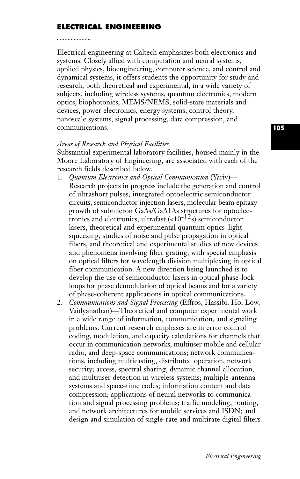# **ELECTRICAL ENGINEERING**

Electrical engineering at Caltech emphasizes both electronics and systems. Closely allied with computation and neural systems, applied physics, bioengineering, computer science, and control and dynamical systems, it offers students the opportunity for study and research, both theoretical and experimental, in a wide variety of subjects, including wireless systems, quantum electronics, modern optics, biophotonics, MEMS/NEMS, solid-state materials and devices, power electronics, energy systems, control theory, nanoscale systems, signal processing, data compression, and communications.

#### *Areas of Research and Physical Facilities*

Substantial experimental laboratory facilities, housed mainly in the Moore Laboratory of Engineering, are associated with each of the research fields described below.

- 1. *Quantum Electronics and Optical Communication* (Yariv)— Research projects in progress include the generation and control of ultrashort pulses, integrated optoelectric semiconductor circuits, semiconductor injection lasers, molecular beam epitaxy growth of submicron GaAs/GaA1As structures for optoelectronics and electronics, ultrafast  $\left($ <10<sup>-12</sup>s) semiconductor lasers, theoretical and experimental quantum optics–light squeezing, studies of noise and pulse propagation in optical fibers, and theoretical and experimental studies of new devices and phenomena involving fiber grating, with special emphasis on optical filters for wavelength division multiplexing in optical fiber communication. A new direction being launched is to develop the use of semiconductor lasers in optical phase-lock loops for phase demodulation of optical beams and for a variety of phase-coherent applications in optical communications.
- 2. *Communications and Signal Processing* (Effros, Hassibi, Ho, Low, Vaidyanathan)—Theoretical and computer experimental work in a wide range of information, communication, and signaling problems. Current research emphases are in error control coding, modulation, and capacity calculations for channels that occur in communication networks, multiuser mobile and cellular radio, and deep-space communications; network communications, including multicasting, distributed operation, network security; access, spectral sharing, dynamic channel allocation, and multiuser detection in wireless systems; multiple-antenna systems and space-time codes; information content and data compression; applications of neural networks to communication and signal processing problems; traffic modeling, routing, and network architectures for mobile services and ISDN; and design and simulation of single-rate and multirate digital filters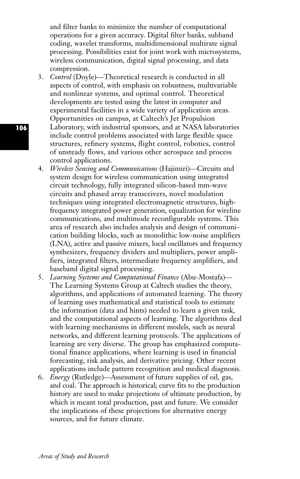and filter banks to minimize the number of computational operations for a given accuracy. Digital filter banks, subband coding, wavelet transforms, multidimensional multirate signal processing. Possibilities exist for joint work with microsystems, wireless communication, digital signal processing, and data compression.

- 3. *Control* (Doyle)—Theoretical research is conducted in all aspects of control, with emphasis on robustness, multivariable and nonlinear systems, and optimal control. Theoretical developments are tested using the latest in computer and experimental facilities in a wide variety of application areas. Opportunities on campus, at Caltech's Jet Propulsion Laboratory, with industrial sponsors, and at NASA laboratories include control problems associated with large flexible space structures, refinery systems, flight control, robotics, control of unsteady flows, and various other aerospace and process control applications.
- 4. *Wireless Sensing and Communications* (Hajimiri)—Circuits and system design for wireless communication using integrated circuit technology, fully integrated silicon-based mm-wave circuits and phased array transceivers, novel modulation techniques using integrated electromagnetic structures, highfrequency integrated power generation, equalization for wireline communications, and multimode reconfigurable systems. This area of research also includes analysis and design of communication building blocks, such as monolithic low-noise amplifiers (LNA), active and passive mixers, local oscillators and frequency synthesizers, frequency dividers and multipliers, power amplifiers, integrated filters, intermediate frequency amplifiers, and baseband digital signal processing.
- 5. *Learning Systems and Computational Finance* (Abu-Mostafa)— The Learning Systems Group at Caltech studies the theory, algorithms, and applications of automated learning. The theory of learning uses mathematical and statistical tools to estimate the information (data and hints) needed to learn a given task, and the computational aspects of learning. The algorithms deal with learning mechanisms in different models, such as neural networks, and different learning protocols. The applications of learning are very diverse. The group has emphasized computational finance applications, where learning is used in financial forecasting, risk analysis, and derivative pricing. Other recent applications include pattern recognition and medical diagnosis.
- 6. *Energy* (Rutledge)—Assessment of future supplies of oil, gas, and coal. The approach is historical; curve fits to the production history are used to make projections of ultimate production, by which is meant total production, past and future. We consider the implications of these projections for alternative energy sources, and for future climate.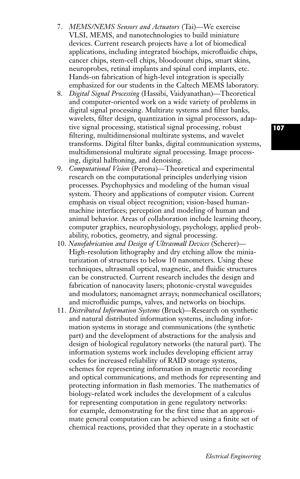- 7. *MEMS/NEMS Sensors and Actuators* (Tai)—We exercise VLSI, MEMS, and nanotechnologies to build miniature devices. Current research projects have a lot of biomedical applications, including integrated biochips, microfluidic chips, cancer chips, stem-cell chips, bloodcount chips, smart skins, neuroprobes, retinal implants and spinal cord implants, etc. Hands-on fabrication of high-level integration is specially emphasized for our students in the Caltech MEMS laboratory.
- 8. *Digital Signal Processing* (Hassibi, Vaidyanathan)—Theoretical and computer-oriented work on a wide variety of problems in digital signal processing. Multirate systems and filter banks, wavelets, filter design, quantization in signal processors, adaptive signal processing, statistical signal processing, robust filtering, multidimensional multirate systems, and wavelet transforms. Digital filter banks, digital communication systems, multidimensional multirate signal processing. Image processing, digital halftoning, and denoising.
- 9. *Computational Vision* (Perona)—Theoretical and experimental research on the computational principles underlying vision processes. Psychophysics and modeling of the human visual system. Theory and applications of computer vision. Current emphasis on visual object recognition; vision-based humanmachine interfaces; perception and modeling of human and animal behavior. Areas of collaboration include learning theory, computer graphics, neurophysiology, psychology, applied probability, robotics, geometry, and signal processing.
- 10. *Nanofabrication and Design of Ultrasmall Devices* (Scherer)— High-resolution lithography and dry etching allow the miniaturization of structures to below 10 nanometers. Using these techniques, ultrasmall optical, magnetic, and fluidic structures can be constructed. Current research includes the design and fabrication of nanocavity lasers; photonic-crystal waveguides and modulators; nanomagnet arrays; nonmechanical oscillators; and microfluidic pumps, valves, and networks on biochips.
- 11. *Distributed Information Systems* (Bruck)—Research on synthetic and natural distributed information systems, including information systems in storage and communications (the synthetic part) and the development of abstractions for the analysis and design of biological regulatory networks (the natural part). The information systems work includes developing efficient array codes for increased reliability of RAID storage systems, schemes for representing information in magnetic recording and optical communications, and methods for representing and protecting information in flash memories. The mathematics of biology-related work includes the development of a calculus for representing computation in gene regulatory networks: for example, demonstrating for the first time that an approximate general computation can be achieved using a finite set of chemical reactions, provided that they operate in a stochastic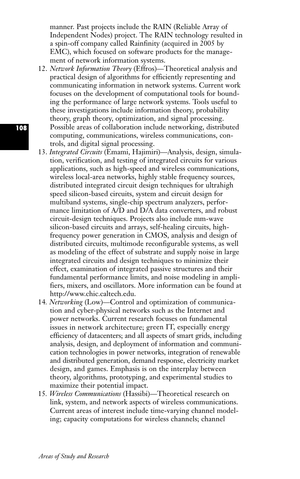manner. Past projects include the RAIN (Reliable Array of Independent Nodes) project. The RAIN technology resulted in a spin-off company called Rainfinity (acquired in 2005 by EMC), which focused on software products for the management of network information systems.

- 12. *Network Information Theory* (Effros)—Theoretical analysis and practical design of algorithms for efficiently representing and communicating information in network systems. Current work focuses on the development of computational tools for bounding the performance of large network systems. Tools useful to these investigations include information theory, probability theory, graph theory, optimization, and signal processing. Possible areas of collaboration include networking, distributed computing, communications, wireless communications, controls, and digital signal processing.
- 13. *Integrated Circuits* (Emami, Hajimiri)—Analysis, design, simulation, verification, and testing of integrated circuits for various applications, such as high-speed and wireless communications, wireless local-area networks, highly stable frequency sources, distributed integrated circuit design techniques for ultrahigh speed silicon-based circuits, system and circuit design for multiband systems, single-chip spectrum analyzers, performance limitation of A/D and D/A data converters, and robust circuit-design techniques. Projects also include mm-wave silicon-based circuits and arrays, self-healing circuits, highfrequency power generation in CMOS, analysis and design of distributed circuits, multimode reconfigurable systems, as well as modeling of the effect of substrate and supply noise in large integrated circuits and design techniques to minimize their effect, examination of integrated passive structures and their fundamental performance limits, and noise modeling in amplifiers, mixers, and oscillators. More information can be found at http://www.chic.caltech.edu.
- 14*. Networking* (Low)*—*Control and optimization of communication and cyber-physical networks such as the Internet and power networks. Current research focuses on fundamental issues in network architecture; green IT, especially energy efficiency of datacenters; and all aspects of smart grids, including analysis, design, and deployment of information and communication technologies in power networks, integration of renewable and distributed generation, demand response, electricity market design, and games. Emphasis is on the interplay between theory, algorithms, prototyping, and experimental studies to maximize their potential impact.
- 15*. Wireless Communications* (Hassibi)*—*Theoretical research on link, system, and network aspects of wireless communications. Current areas of interest include time-varying channel modeling; capacity computations for wireless channels; channel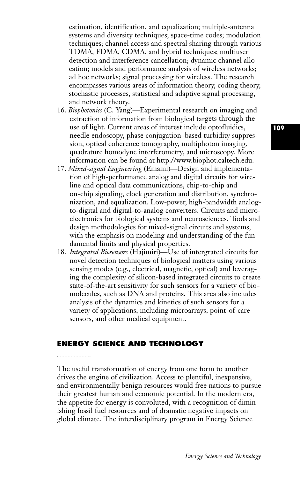estimation, identification, and equalization; multiple-antenna systems and diversity techniques; space-time codes; modulation techniques; channel access and spectral sharing through various TDMA, FDMA, CDMA, and hybrid techniques; multiuser detection and interference cancellation; dynamic channel allocation; models and performance analysis of wireless networks; ad hoc networks; signal processing for wireless. The research encompasses various areas of information theory, coding theory, stochastic processes, statistical and adaptive signal processing, and network theory.

- 16. *Biophotonics* (C. Yang)—Experimental research on imaging and extraction of information from biological targets through the use of light. Current areas of interest include optofluidics, needle endoscopy, phase conjugation–based turbidity suppression, optical coherence tomography, multiphoton imaging, quadrature homodyne interferometry, and microscopy. More information can be found at http://www.biophot.caltech.edu.
- 17. *Mixed-signal Engineering* (Emami)—Design and implementation of high-performance analog and digital circuits for wireline and optical data communications, chip-to-chip and on-chip signaling, clock generation and distribution, synchronization, and equalization. Low-power, high-bandwidth analogto-digital and digital-to-analog converters. Circuits and microelectronics for biological systems and neurosciences. Tools and design methodologies for mixed-signal circuits and systems, with the emphasis on modeling and understanding of the fundamental limits and physical properties.
- 18. *Integrated Biosensors* (Hajimiri)—Use of intergrated circuits for novel detection techniques of biological matters using various sensing modes (e.g., electrical, magnetic, optical) and leveraging the complexity of silicon-based integrated circuits to create state-of-the-art sensitivity for such sensors for a variety of biomolecules, such as DNA and proteins. This area also includes analysis of the dynamics and kinetics of such sensors for a variety of applications, including microarrays, point-of-care sensors, and other medical equipment.

## **ENERGY SCIENCE AND TECHNOLOGY**

The useful transformation of energy from one form to another drives the engine of civilization. Access to plentiful, inexpensive, and environmentally benign resources would free nations to pursue their greatest human and economic potential. In the modern era, the appetite for energy is convoluted, with a recognition of diminishing fossil fuel resources and of dramatic negative impacts on global climate. The interdisciplinary program in Energy Science

*Energy Science and Technology*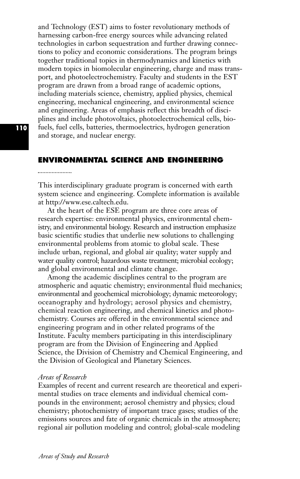and Technology (EST) aims to foster revolutionary methods of harnessing carbon-free energy sources while advancing related technologies in carbon sequestration and further drawing connections to policy and economic considerations. The program brings together traditional topics in thermodynamics and kinetics with modern topics in biomolecular engineering, charge and mass transport, and photoelectrochemistry. Faculty and students in the EST program are drawn from a broad range of academic options, including materials science, chemistry, applied physics, chemical engineering, mechanical engineering, and environmental science and engineering. Areas of emphasis reflect this breadth of disciplines and include photovoltaics, photoelectrochemical cells, biofuels, fuel cells, batteries, thermoelectrics, hydrogen generation and storage, and nuclear energy.

# **ENVIRONMENTAL SCIENCE AND ENGINEERING**

This interdisciplinary graduate program is concerned with earth system science and engineering. Complete information is available at http://www.ese.caltech.edu.

At the heart of the ESE program are three core areas of research expertise: environmental physics, environmental chemistry, and environmental biology. Research and instruction emphasize basic scientific studies that underlie new solutions to challenging environmental problems from atomic to global scale. These include urban, regional, and global air quality; water supply and water quality control; hazardous waste treatment; microbial ecology; and global environmental and climate change.

Among the academic disciplines central to the program are atmospheric and aquatic chemistry; environmental fluid mechanics; environmental and geochemical microbiology; dynamic meteorology; oceanography and hydrology; aerosol physics and chemistry, chemical reaction engineering, and chemical kinetics and photochemistry. Courses are offered in the environmental science and engineering program and in other related programs of the Institute. Faculty members participating in this interdisciplinary program are from the Division of Engineering and Applied Science, the Division of Chemistry and Chemical Engineering, and the Division of Geological and Planetary Sciences.

#### *Areas of Research*

Examples of recent and current research are theoretical and experimental studies on trace elements and individual chemical compounds in the environment; aerosol chemistry and physics; cloud chemistry; photochemistry of important trace gases; studies of the emissions sources and fate of organic chemicals in the atmosphere; regional air pollution modeling and control; global-scale modeling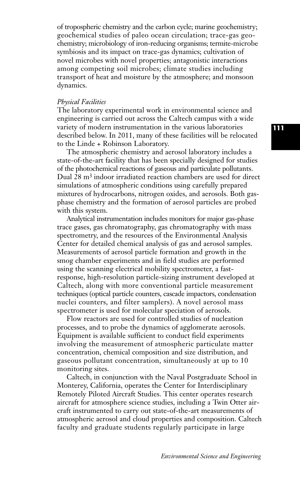of tropospheric chemistry and the carbon cycle; marine geochemistry; geochemical studies of paleo ocean circulation; trace-gas geochemistry; microbiology of iron-reducing organisms; termite-microbe symbiosis and its impact on trace-gas dynamics; cultivation of novel microbes with novel properties; antagonistic interactions among competing soil microbes; climate studies including transport of heat and moisture by the atmosphere; and monsoon dynamics.

#### *Physical Facilities*

The laboratory experimental work in environmental science and engineering is carried out across the Caltech campus with a wide variety of modern instrumentation in the various laboratories described below. In 2011, many of these facilities will be relocated to the Linde + Robinson Laboratory.

The atmospheric chemistry and aerosol laboratory includes a state-of-the-art facility that has been specially designed for studies of the photochemical reactions of gaseous and particulate pollutants. Dual 28 m3 indoor irradiated reaction chambers are used for direct simulations of atmospheric conditions using carefully prepared mixtures of hydrocarbons, nitrogen oxides, and aerosols. Both gasphase chemistry and the formation of aerosol particles are probed with this system.

Analytical instrumentation includes monitors for major gas-phase trace gases, gas chromatography, gas chromatography with mass spectrometry, and the resources of the Environmental Analysis Center for detailed chemical analysis of gas and aerosol samples. Measurements of aerosol particle formation and growth in the smog chamber experiments and in field studies are performed using the scanning electrical mobility spectrometer, a fastresponse, high-resolution particle-sizing instrument developed at Caltech, along with more conventional particle measurement techniques (optical particle counters, cascade impactors, condensation nuclei counters, and filter samplers). A novel aerosol mass spectrometer is used for molecular speciation of aerosols.

Flow reactors are used for controlled studies of nucleation processes, and to probe the dynamics of agglomerate aerosols. Equipment is available sufficient to conduct field experiments involving the measurement of atmospheric particulate matter concentration, chemical composition and size distribution, and gaseous pollutant concentration, simultaneously at up to 10 monitoring sites.

Caltech, in conjunction with the Naval Postgraduate School in Monterey, California, operates the Center for Interdisciplinary Remotely Piloted Aircraft Studies. This center operates research aircraft for atmosphere science studies, including a Twin Otter aircraft instrumented to carry out state-of-the-art measurements of atmospheric aerosol and cloud properties and composition. Caltech faculty and graduate students regularly participate in large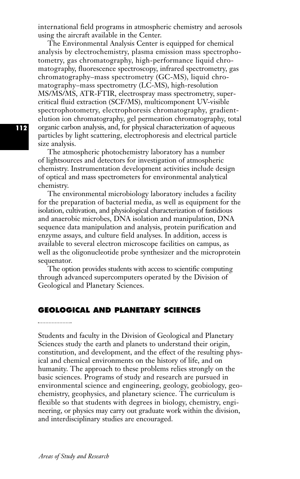international field programs in atmospheric chemistry and aerosols using the aircraft available in the Center.

The Environmental Analysis Center is equipped for chemical analysis by electrochemistry, plasma emission mass spectrophotometry, gas chromatography, high-performance liquid chromatography, fluorescence spectroscopy, infrared spectrometry, gas chromatography–mass spectrometry (GC-MS), liquid chromatography–mass spectrometry (LC-MS), high-resolution MS/MS/MS, ATR-FTIR, electrospray mass spectrometry, supercritical fluid extraction (SCF/MS), multicomponent UV-visible spectrophotometry, electrophoresis chromatography, gradientelution ion chromatography, gel permeation chromatography, total organic carbon analysis, and, for physical characterization of aqueous particles by light scattering, electrophoresis and electrical particle size analysis.

The atmospheric photochemistry laboratory has a number of lightsources and detectors for investigation of atmospheric chemistry. Instrumentation development activities include design of optical and mass spectrometers for environmental analytical chemistry.

The environmental microbiology laboratory includes a facility for the preparation of bacterial media, as well as equipment for the isolation, cultivation, and physiological characterization of fastidious and anaerobic microbes, DNA isolation and manipulation, DNA sequence data manipulation and analysis, protein purification and enzyme assays, and culture field analyses. In addition, access is available to several electron microscope facilities on campus, as well as the oligonucleotide probe synthesizer and the microprotein sequenator.

The option provides students with access to scientific computing through advanced supercomputers operated by the Division of Geological and Planetary Sciences.

# **GEOLOGICAL AND PLANETARY SCIENCES**

Students and faculty in the Division of Geological and Planetary Sciences study the earth and planets to understand their origin, constitution, and development, and the effect of the resulting physical and chemical environments on the history of life, and on humanity. The approach to these problems relies strongly on the basic sciences. Programs of study and research are pursued in environmental science and engineering, geology, geobiology, geochemistry, geophysics, and planetary science. The curriculum is flexible so that students with degrees in biology, chemistry, engineering, or physics may carry out graduate work within the division, and interdisciplinary studies are encouraged.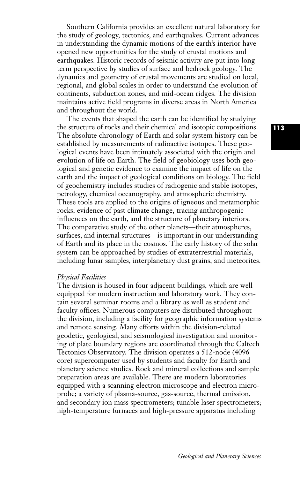Southern California provides an excellent natural laboratory for the study of geology, tectonics, and earthquakes. Current advances in understanding the dynamic motions of the earth's interior have opened new opportunities for the study of crustal motions and earthquakes. Historic records of seismic activity are put into longterm perspective by studies of surface and bedrock geology. The dynamics and geometry of crustal movements are studied on local, regional, and global scales in order to understand the evolution of continents, subduction zones, and mid-ocean ridges. The division maintains active field programs in diverse areas in North America and throughout the world.

The events that shaped the earth can be identified by studying the structure of rocks and their chemical and isotopic compositions. The absolute chronology of Earth and solar system history can be established by measurements of radioactive isotopes. These geological events have been intimately associated with the origin and evolution of life on Earth. The field of geobiology uses both geological and genetic evidence to examine the impact of life on the earth and the impact of geological conditions on biology. The field of geochemistry includes studies of radiogenic and stable isotopes, petrology, chemical oceanography, and atmospheric chemistry. These tools are applied to the origins of igneous and metamorphic rocks, evidence of past climate change, tracing anthropogenic influences on the earth, and the structure of planetary interiors. The comparative study of the other planets—their atmospheres, surfaces, and internal structures—is important in our understanding of Earth and its place in the cosmos. The early history of the solar system can be approached by studies of extraterrestrial materials, including lunar samples, interplanetary dust grains, and meteorites.

#### *Physical Facilities*

The division is housed in four adjacent buildings, which are well equipped for modern instruction and laboratory work. They contain several seminar rooms and a library as well as student and faculty offices. Numerous computers are distributed throughout the division, including a facility for geographic information systems and remote sensing. Many efforts within the division-related geodetic, geological, and seismological investigation and monitoring of plate boundary regions are coordinated through the Caltech Tectonics Observatory. The division operates a 512-node (4096 core) supercomputer used by students and faculty for Earth and planetary science studies. Rock and mineral collections and sample preparation areas are available. There are modern laboratories equipped with a scanning electron microscope and electron microprobe; a variety of plasma-source, gas-source, thermal emission, and secondary ion mass spectrometers; tunable laser spectrometers; high-temperature furnaces and high-pressure apparatus including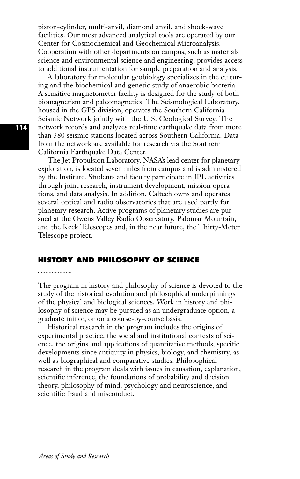piston-cylinder, multi-anvil, diamond anvil, and shock-wave facilities. Our most advanced analytical tools are operated by our Center for Cosmochemical and Geochemical Microanalysis. Cooperation with other departments on campus, such as materials science and environmental science and engineering, provides access to additional instrumentation for sample preparation and analysis.

A laboratory for molecular geobiology specializes in the culturing and the biochemical and genetic study of anaerobic bacteria. A sensitive magnetometer facility is designed for the study of both biomagnetism and paleomagnetics. The Seismological Laboratory, housed in the GPS division, operates the Southern California Seismic Network jointly with the U.S. Geological Survey. The network records and analyzes real-time earthquake data from more than 380 seismic stations located across Southern California. Data from the network are available for research via the Southern California Earthquake Data Center.

The Jet Propulsion Laboratory, NASA's lead center for planetary exploration, is located seven miles from campus and is administered by the Institute. Students and faculty participate in JPL activities through joint research, instrument development, mission operations, and data analysis. In addition, Caltech owns and operates several optical and radio observatories that are used partly for planetary research. Active programs of planetary studies are pursued at the Owens Valley Radio Observatory, Palomar Mountain, and the Keck Telescopes and, in the near future, the Thirty-Meter Telescope project.

# **HISTORY AND PHILOSOPHY OF SCIENCE**

The program in history and philosophy of science is devoted to the study of the historical evolution and philosophical underpinnings of the physical and biological sciences. Work in history and philosophy of science may be pursued as an undergraduate option, a graduate minor, or on a course-by-course basis.

Historical research in the program includes the origins of experimental practice, the social and institutional contexts of science, the origins and applications of quantitative methods, specific developments since antiquity in physics, biology, and chemistry, as well as biographical and comparative studies. Philosophical research in the program deals with issues in causation, explanation, scientific inference, the foundations of probability and decision theory, philosophy of mind, psychology and neuroscience, and scientific fraud and misconduct.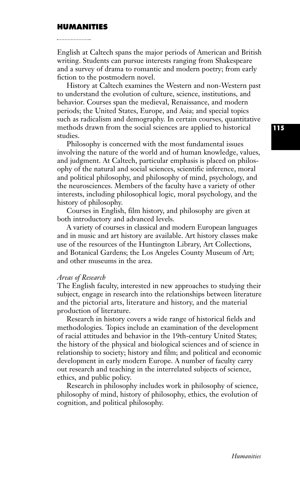#### **HUMANITIES**

English at Caltech spans the major periods of American and British writing. Students can pursue interests ranging from Shakespeare and a survey of drama to romantic and modern poetry; from early fiction to the postmodern novel.

History at Caltech examines the Western and non-Western past to understand the evolution of culture, science, institutions, and behavior. Courses span the medieval, Renaissance, and modern periods; the United States, Europe, and Asia; and special topics such as radicalism and demography. In certain courses, quantitative methods drawn from the social sciences are applied to historical studies.

Philosophy is concerned with the most fundamental issues involving the nature of the world and of human knowledge, values, and judgment. At Caltech, particular emphasis is placed on philosophy of the natural and social sciences, scientific inference, moral and political philosophy, and philosophy of mind, psychology, and the neurosciences. Members of the faculty have a variety of other interests, including philosophical logic, moral psychology, and the history of philosophy.

Courses in English, film history, and philosophy are given at both introductory and advanced levels.

A variety of courses in classical and modern European languages and in music and art history are available. Art history classes make use of the resources of the Huntington Library, Art Collections, and Botanical Gardens; the Los Angeles County Museum of Art; and other museums in the area.

#### *Areas of Research*

The English faculty, interested in new approaches to studying their subject, engage in research into the relationships between literature and the pictorial arts, literature and history, and the material production of literature.

Research in history covers a wide range of historical fields and methodologies. Topics include an examination of the development of racial attitudes and behavior in the 19th-century United States; the history of the physical and biological sciences and of science in relationship to society; history and film; and political and economic development in early modern Europe. A number of faculty carry out research and teaching in the interrelated subjects of science, ethics, and public policy.

Research in philosophy includes work in philosophy of science, philosophy of mind, history of philosophy, ethics, the evolution of cognition, and political philosophy.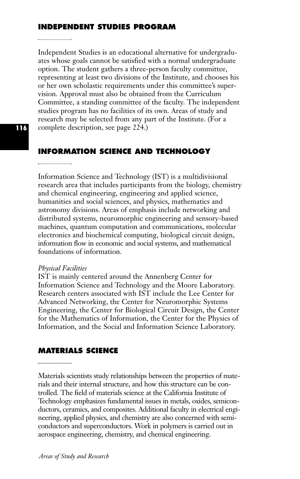# **INDEPENDENT STUDIES PROGRAM**

Independent Studies is an educational alternative for undergraduates whose goals cannot be satisfied with a normal undergraduate option. The student gathers a three-person faculty committee, representing at least two divisions of the Institute, and chooses his or her own scholastic requirements under this committee's supervision. Approval must also be obtained from the Curriculum Committee, a standing committee of the faculty. The independent studies program has no facilities of its own. Areas of study and research may be selected from any part of the Institute. (For a complete description, see page 224.)

# **INFORMATION SCIENCE AND TECHNOLOGY**

Information Science and Technology (IST) is a multidivisional research area that includes participants from the biology, chemistry and chemical engineering, engineering and applied science, humanities and social sciences, and physics, mathematics and astronomy divisions. Areas of emphasis include networking and distributed systems, neuromorphic engineering and sensory-based machines, quantum computation and communications, molecular electronics and biochemical computing, biological circuit design, information flow in economic and social systems, and mathematical foundations of information.

#### *Physical Facilities*

IST is mainly centered around the Annenberg Center for Information Science and Technology and the Moore Laboratory. Research centers associated with IST include the Lee Center for Advanced Networking, the Center for Neuromorphic Systems Engineering, the Center for Biological Circuit Design, the Center for the Mathematics of Information, the Center for the Physics of Information, and the Social and Information Science Laboratory.

# **MATERIALS SCIENCE**

Materials scientists study relationships between the properties of materials and their internal structure, and how this structure can be controlled. The field of materials science at the California Institute of Technology emphasizes fundamental issues in metals, oxides, semiconductors, ceramics, and composites. Additional faculty in electrical engineering, applied physics, and chemistry are also concerned with semiconductors and superconductors. Work in polymers is carried out in aerospace engineering, chemistry, and chemical engineering.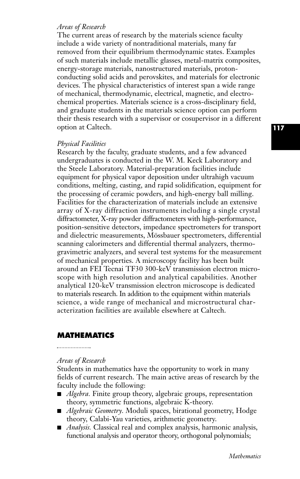#### *Areas of Research*

The current areas of research by the materials science faculty include a wide variety of nontraditional materials, many far removed from their equilibrium thermodynamic states. Examples of such materials include metallic glasses, metal-matrix composites, energy-storage materials, nanostructured materials, protonconducting solid acids and perovskites, and materials for electronic devices. The physical characteristics of interest span a wide range of mechanical, thermodynamic, electrical, magnetic, and electrochemical properties. Materials science is a cross-disciplinary field, and graduate students in the materials science option can perform their thesis research with a supervisor or cosupervisor in a different option at Caltech.

#### *Physical Facilities*

Research by the faculty, graduate students, and a few advanced undergraduates is conducted in the W. M. Keck Laboratory and the Steele Laboratory. Material-preparation facilities include equipment for physical vapor deposition under ultrahigh vacuum conditions, melting, casting, and rapid solidification, equipment for the processing of ceramic powders, and high-energy ball milling. Facilities for the characterization of materials include an extensive array of X-ray diffraction instruments including a single crystal diffractometer, X-ray powder diffractometers with high-performance, position-sensitive detectors, impedance spectrometers for transport and dielectric measurements, Mössbauer spectrometers, differential scanning calorimeters and differential thermal analyzers, thermogravimetric analyzers, and several test systems for the measurement of mechanical properties. A microscopy facility has been built around an FEI Tecnai TF30 300-keV transmission electron microscope with high resolution and analytical capabilities. Another analytical 120-keV transmission electron microscope is dedicated to materials research. In addition to the equipment within materials science, a wide range of mechanical and microstructural characterization facilities are available elsewhere at Caltech.

#### **MATHEMATICS**

## *Areas of Research*

Students in mathematics have the opportunity to work in many fields of current research. The main active areas of research by the faculty include the following:

- *Algebra*. Finite group theory, algebraic groups, representation theory, symmetric functions, algebraic K-theory.
- *Algebraic Geometry*. Moduli spaces, birational geometry, Hodge theory, Calabi-Yau varieties, arithmetic geometry.
- *Analysis*. Classical real and complex analysis, harmonic analysis, functional analysis and operator theory, orthogonal polynomials;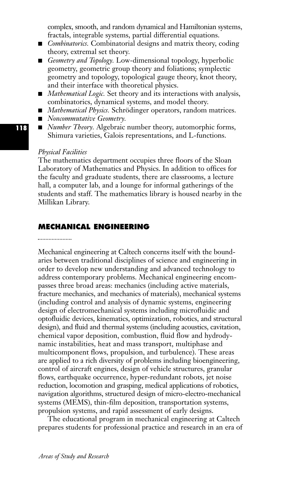complex, smooth, and random dynamical and Hamiltonian systems, fractals, integrable systems, partial differential equations.

- *Combinatorics*. Combinatorial designs and matrix theory, coding theory, extremal set theory.
- **■** *Geometry and Topology.* Low-dimensional topology, hyperbolic geometry, geometric group theory and foliations; symplectic geometry and topology, topological gauge theory, knot theory, and their interface with theoretical physics.
- *Mathematical Logic*. Set theory and its interactions with analysis, combinatorics, dynamical systems, and model theory.
- *Mathematical Physics*. Schrödinger operators, random matrices.
- **■** *Noncommutative Geometry.*
- *Number Theory*. Algebraic number theory, automorphic forms, Shimura varieties, Galois representations, and L-functions.

## *Physical Facilities*

The mathematics department occupies three floors of the Sloan Laboratory of Mathematics and Physics. In addition to offices for the faculty and graduate students, there are classrooms, a lecture hall, a computer lab, and a lounge for informal gatherings of the students and staff. The mathematics library is housed nearby in the Millikan Library.

# **MECHANICAL ENGINEERING**

Mechanical engineering at Caltech concerns itself with the boundaries between traditional disciplines of science and engineering in order to develop new understanding and advanced technology to address contemporary problems. Mechanical engineering encompasses three broad areas: mechanics (including active materials, fracture mechanics, and mechanics of materials), mechanical systems (including control and analysis of dynamic systems, engineering design of electromechanical systems including microfluidic and optofluidic devices, kinematics, optimization, robotics, and structural design), and fluid and thermal systems (including acoustics, cavitation, chemical vapor deposition, combustion, fluid flow and hydrodynamic instabilities, heat and mass transport, multiphase and multicomponent flows, propulsion, and turbulence). These areas are applied to a rich diversity of problems including bioengineering, control of aircraft engines, design of vehicle structures, granular flows, earthquake occurrence, hyper-redundant robots, jet noise reduction, locomotion and grasping, medical applications of robotics, navigation algorithms, structured design of micro-electro-mechanical systems (MEMS), thin-film deposition, transportation systems, propulsion systems, and rapid assessment of early designs.

The educational program in mechanical engineering at Caltech prepares students for professional practice and research in an era of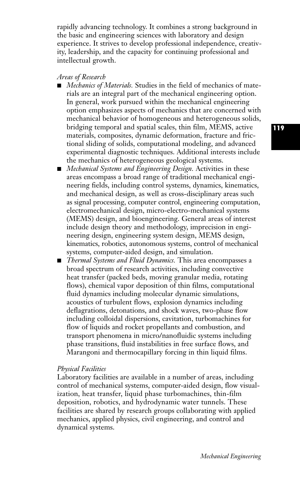rapidly advancing technology. It combines a strong background in the basic and engineering sciences with laboratory and design experience. It strives to develop professional independence, creativity, leadership, and the capacity for continuing professional and intellectual growth.

## *Areas of Research*

- *Mechanics of Materials*. Studies in the field of mechanics of materials are an integral part of the mechanical engineering option. In general, work pursued within the mechanical engineering option emphasizes aspects of mechanics that are concerned with mechanical behavior of homogeneous and heterogeneous solids, bridging temporal and spatial scales, thin film, MEMS, active materials, composites, dynamic deformation, fracture and frictional sliding of solids, computational modeling, and advanced experimental diagnostic techniques. Additional interests include the mechanics of heterogeneous geological systems.
- *Mechanical Systems and Engineering Design*. Activities in these areas encompass a broad range of traditional mechanical engineering fields, including control systems, dynamics, kinematics, and mechanical design, as well as cross-disciplinary areas such as signal processing, computer control, engineering computation, electromechanical design, micro-electro-mechanical systems (MEMS) design, and bioengineering. General areas of interest include design theory and methodology, imprecision in engineering design, engineering system design, MEMS design, kinematics, robotics, autonomous systems, control of mechanical systems, computer-aided design, and simulation.
- **■** *Thermal Systems and Fluid Dynamics.* This area encompasses a broad spectrum of research activities, including convective heat transfer (packed beds, moving granular media, rotating flows), chemical vapor deposition of thin films, computational fluid dynamics including molecular dynamic simulations, acoustics of turbulent flows, explosion dynamics including deflagrations, detonations, and shock waves, two-phase flow including colloidal dispersions, cavitation, turbomachines for flow of liquids and rocket propellants and combustion, and transport phenomena in micro/nanofluidic systems including phase transitions, fluid instabilities in free surface flows, and Marangoni and thermocapillary forcing in thin liquid films.

#### *Physical Facilities*

Laboratory facilities are available in a number of areas, including control of mechanical systems, computer-aided design, flow visualization, heat transfer, liquid phase turbomachines, thin-film deposition, robotics, and hydrodynamic water tunnels. These facilities are shared by research groups collaborating with applied mechanics, applied physics, civil engineering, and control and dynamical systems.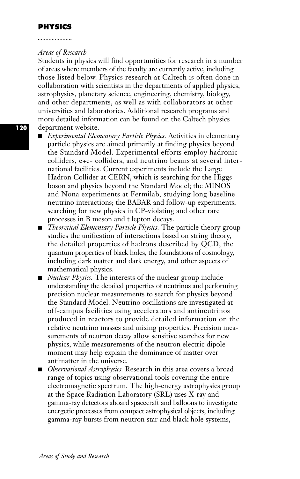## *Areas of Research*

Students in physics will find opportunities for research in a number of areas where members of the faculty are currently active, including those listed below. Physics research at Caltech is often done in collaboration with scientists in the departments of applied physics, astrophysics, planetary science, engineering, chemistry, biology, and other departments, as well as with collaborators at other universities and laboratories. Additional research programs and more detailed information can be found on the Caltech physics department website.

- **■** *Experimental Elementary Particle Physics.* Activities in elementary particle physics are aimed primarily at finding physics beyond the Standard Model. Experimental efforts employ hadronic colliders, e+e- colliders, and neutrino beams at several international facilities. Current experiments include the Large Hadron Collider at CERN, which is searching for the Higgs boson and physics beyond the Standard Model; the MINOS and Nona experiments at Fermilab, studying long baseline neutrino interactions; the BABAR and follow-up experiments, searching for new physics in CP-violating and other rare processes in B meson and t lepton decays.
- *Theoretical Elementary Particle Physics*. The particle theory group studies the unification of interactions based on string theory, the detailed properties of hadrons described by QCD, the quantum properties of black holes, the foundations of cosmology, including dark matter and dark energy, and other aspects of mathematical physics.
- *Nuclear Physics*. The interests of the nuclear group include understanding the detailed properties of neutrinos and performing precision nuclear measurements to search for physics beyond the Standard Model. Neutrino oscillations are investigated at off-campus facilities using accelerators and antineutrinos produced in reactors to provide detailed information on the relative neutrino masses and mixing properties. Precision measurements of neutron decay allow sensitive searches for new physics, while measurements of the neutron electric dipole moment may help explain the dominance of matter over antimatter in the universe.
- *Observational Astrophysics*. Research in this area covers a broad range of topics using observational tools covering the entire electromagnetic spectrum. The high-energy astrophysics group at the Space Radiation Laboratory (SRL) uses X-ray and gamma-ray detectors aboard spacecraft and balloons to investigate energetic processes from compact astrophysical objects, including gamma-ray bursts from neutron star and black hole systems,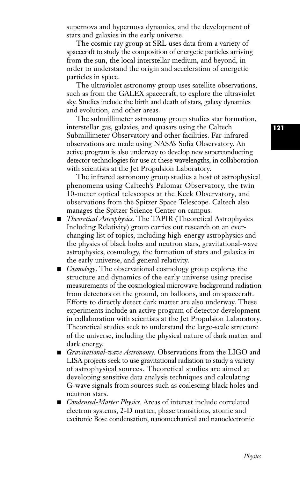supernova and hypernova dynamics, and the development of stars and galaxies in the early universe.

The cosmic ray group at SRL uses data from a variety of spacecraft to study the composition of energetic particles arriving from the sun, the local interstellar medium, and beyond, in order to understand the origin and acceleration of energetic particles in space.

The ultraviolet astronomy group uses satellite observations, such as from the GALEX spacecraft, to explore the ultraviolet sky. Studies include the birth and death of stars, galaxy dynamics and evolution, and other areas.

The submillimeter astronomy group studies star formation, interstellar gas, galaxies, and quasars using the Caltech Submillimeter Observatory and other facilities. Far-infrared observations are made using NASA's Sofia Observatory. An active program is also underway to develop new superconducting detector technologies for use at these wavelengths, in collaboration with scientists at the Jet Propulsion Laboratory.

The infrared astronomy group studies a host of astrophysical phenomena using Caltech's Palomar Observatory, the twin 10-meter optical telescopes at the Keck Observatory, and observations from the Spitzer Space Telescope. Caltech also manages the Spitzer Science Center on campus.

- *Theoretical Astrophysics*. The TAPIR (Theoretical Astrophysics Including Relativity) group carries out research on an everchanging list of topics, including high-energy astrophysics and the physics of black holes and neutron stars, gravitational-wave astrophysics, cosmology, the formation of stars and galaxies in the early universe, and general relativity.
- *Cosmology*. The observational cosmology group explores the structure and dynamics of the early universe using precise measurements of the cosmological microwave background radiation from detectors on the ground, on balloons, and on spacecraft. Efforts to directly detect dark matter are also underway. These experiments include an active program of detector development in collaboration with scientists at the Jet Propulsion Laboratory. Theoretical studies seek to understand the large-scale structure of the universe, including the physical nature of dark matter and dark energy.
- *Gravitational-wave Astronomy*. Observations from the LIGO and LISA projects seek to use gravitational radiation to study a variety of astrophysical sources. Theoretical studies are aimed at developing sensitive data analysis techniques and calculating G-wave signals from sources such as coalescing black holes and neutron stars.
- *Condensed-Matter Physics*. Areas of interest include correlated electron systems, 2-D matter, phase transitions, atomic and excitonic Bose condensation, nanomechanical and nanoelectronic

**121**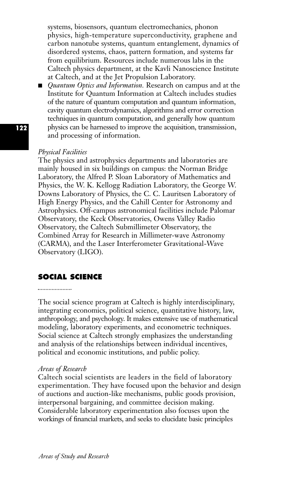systems, biosensors, quantum electromechanics, phonon physics, high-temperature superconductivity, graphene and carbon nanotube systems, quantum entanglement, dynamics of disordered systems, chaos, pattern formation, and systems far from equilibrium. Resources include numerous labs in the Caltech physics department, at the Kavli Nanoscience Institute at Caltech, and at the Jet Propulsion Laboratory.

■ *Quantum Optics and Information*. Research on campus and at the Institute for Quantum Information at Caltech includes studies of the nature of quantum computation and quantum information, cavity quantum electrodynamics, algorithms and error correction techniques in quantum computation, and generally how quantum physics can be harnessed to improve the acquisition, transmission, and processing of information.

# *Physical Facilities*

The physics and astrophysics departments and laboratories are mainly housed in six buildings on campus: the Norman Bridge Laboratory, the Alfred P. Sloan Laboratory of Mathematics and Physics, the W. K. Kellogg Radiation Laboratory, the George W. Downs Laboratory of Physics, the C. C. Lauritsen Laboratory of High Energy Physics, and the Cahill Center for Astronomy and Astrophysics. Off-campus astronomical facilities include Palomar Observatory, the Keck Observatories, Owens Valley Radio Observatory, the Caltech Submillimeter Observatory, the Combined Array for Research in Millimeter-wave Astronomy (CARMA), and the Laser Interferometer Gravitational-Wave Observatory (LIGO).

# **SOCIAL SCIENCE**

The social science program at Caltech is highly interdisciplinary, integrating economics, political science, quantitative history, law, anthropology, and psychology. It makes extensive use of mathematical modeling, laboratory experiments, and econometric techniques. Social science at Caltech strongly emphasizes the understanding and analysis of the relationships between individual incentives, political and economic institutions, and public policy.

#### *Areas of Research*

Caltech social scientists are leaders in the field of laboratory experimentation. They have focused upon the behavior and design of auctions and auction-like mechanisms, public goods provision, interpersonal bargaining, and committee decision making. Considerable laboratory experimentation also focuses upon the workings of financial markets, and seeks to elucidate basic principles